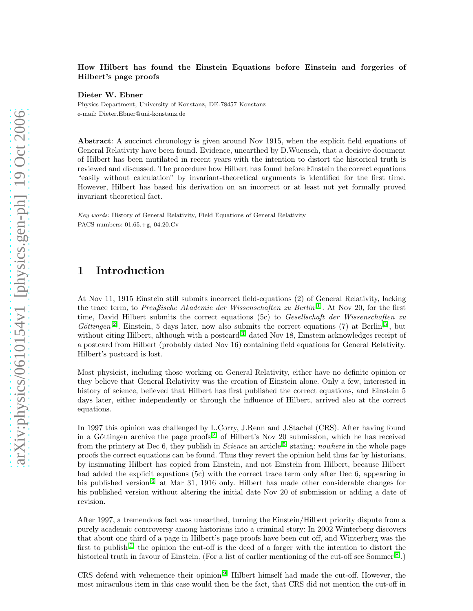#### How Hilbert has found the Einstein Equations before Einstein and forgeries of Hilbert's page proofs

Dieter W. Ebner

Physics Department, University of Konstanz, DE-78457 Konstanz e-mail: Dieter.Ebner@uni-konstanz.de

Abstract: A succinct chronology is given around Nov 1915, when the explicit field equations of General Relativity have been found. Evidence, unearthed by D.Wuensch, that a decisive document of Hilbert has been mutilated in recent years with the intention to distort the historical truth is reviewed and discussed. The procedure how Hilbert has found before Einstein the correct equations "easily without calculation" by invariant-theoretical arguments is identified for the first time. However, Hilbert has based his derivation on an incorrect or at least not yet formally proved invariant theoretical fact.

Key words: History of General Relativity, Field Equations of General Relativity PACS numbers: 01.65.+g, 04.20.Cv

# 1 Introduction

At Nov 11, 1915 Einstein still submits incorrect field-equations (2) of General Relativity, lacking the trace term, to Preußische Akademie der Wissenschaften zu Berlin<sup>[\[1\]](#page-24-0)</sup>. At Nov 20, for the first time, David Hilbert submits the correct equations (5c) to Gesellschaft der Wissenschaften zu Göttingen<sup>[\[2\]](#page-24-1)</sup>. Einstein, 5 days later, now also submits the correct equations (7) at Berlin<sup>[\[3\]](#page-25-0)</sup>, but without citing Hilbert, although with a postcard<sup>[\[4\]](#page-25-1)</sup> dated Nov 18, Einstein acknowledges receipt of a postcard from Hilbert (probably dated Nov 16) containing field equations for General Relativity. Hilbert's postcard is lost.

Most physicist, including those working on General Relativity, either have no definite opinion or they believe that General Relativity was the creation of Einstein alone. Only a few, interested in history of science, believed that Hilbert has first published the correct equations, and Einstein 5 days later, either independently or through the influence of Hilbert, arrived also at the correct equations.

In 1997 this opinion was challenged by L.Corry, J.Renn and J.Stachel (CRS). After having found in a Göttingen archive the page proofs<sup>[\[2\]](#page-24-1)</sup> of Hilbert's Nov 20 submission, which he has received from the printery at Dec 6, they publish in Science an article<sup>[\[5\]](#page-25-2)</sup> stating: *nowhere* in the whole page proofs the correct equations can be found. Thus they revert the opinion held thus far by historians, by insinuating Hilbert has copied from Einstein, and not Einstein from Hilbert, because Hilbert had added the explicit equations (5c) with the correct trace term only after Dec 6, appearing in his published version<sup>[\[6\]](#page-25-3)</sup> at Mar 31, 1916 only. Hilbert has made other considerable changes for his published version without altering the initial date Nov 20 of submission or adding a date of revision.

After 1997, a tremendous fact was unearthed, turning the Einstein/Hilbert priority dispute from a purely academic controversy among historians into a criminal story: In 2002 Winterberg discovers that about one third of a page in Hilbert's page proofs have been cut off, and Winterberg was the first to publish<sup>[\[7\]](#page-25-4)</sup> the opinion the cut-off is the deed of a forger with the intention to distort the historical truth in favour of Einstein. (For a list of earlier mentioning of the cut-off see Sommer<sup>[\[8\]](#page-25-5)</sup>.)

CRS defend with vehemence their opinion[\[9\]](#page-25-6) Hilbert himself had made the cut-off. However, the most miraculous item in this case would then be the fact, that CRS did not mention the cut-off in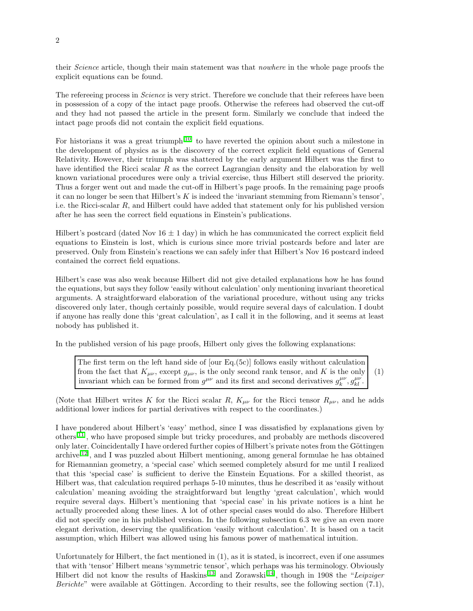their Science article, though their main statement was that *nowhere* in the whole page proofs the explicit equations can be found.

The refereeing process in *Science* is very strict. Therefore we conclude that their referees have been in possession of a copy of the intact page proofs. Otherwise the referees had observed the cut-off and they had not passed the article in the present form. Similarly we conclude that indeed the intact page proofs did not contain the explicit field equations.

For historians it was a great triumph<sup>[\[10\]](#page-25-7)</sup> to have reverted the opinion about such a milestone in the development of physics as is the discovery of the correct explicit field equations of General Relativity. However, their triumph was shattered by the early argument Hilbert was the first to have identified the Ricci scalar  $R$  as the correct Lagrangian density and the elaboration by well known variational procedures were only a trivial exercise, thus Hilbert still deserved the priority. Thus a forger went out and made the cut-off in Hilbert's page proofs. In the remaining page proofs it can no longer be seen that Hilbert's  $K$  is indeed the 'invariant stemming from Riemann's tensor', i.e. the Ricci-scalar R, and Hilbert could have added that statement only for his published version after he has seen the correct field equations in Einstein's publications.

Hilbert's postcard (dated Nov  $16 \pm 1$  day) in which he has communicated the correct explicit field equations to Einstein is lost, which is curious since more trivial postcards before and later are preserved. Only from Einstein's reactions we can safely infer that Hilbert's Nov 16 postcard indeed contained the correct field equations.

Hilbert's case was also weak because Hilbert did not give detailed explanations how he has found the equations, but says they follow 'easily without calculation' only mentioning invariant theoretical arguments. A straightforward elaboration of the variational procedure, without using any tricks discovered only later, though certainly possible, would require several days of calculation. I doubt if anyone has really done this 'great calculation', as I call it in the following, and it seems at least nobody has published it.

In the published version of his page proofs, Hilbert only gives the following explanations:

The first term on the left hand side of [our Eq.(5c)] follows easily without calculation from the fact that  $K_{\mu\nu}$ , except  $g_{\mu\nu}$ , is the only second rank tensor, and K is the only invariant which can be formed from  $g^{\mu\nu}$  and its first and second derivatives  $g_k^{\mu\nu}, g_{kl}^{\mu\nu}$ . (1)

(Note that Hilbert writes K for the Ricci scalar R,  $K_{\mu\nu}$  for the Ricci tensor  $R_{\mu\nu}$ , and he adds additional lower indices for partial derivatives with respect to the coordinates.)

I have pondered about Hilbert's 'easy' method, since I was dissatisfied by explanations given by others[\[11\]](#page-25-8), who have proposed simple but tricky procedures, and probably are methods discovered only later. Coincidentally I have ordered further copies of Hilbert's private notes from the Göttingen archive[\[12\]](#page-25-9), and I was puzzled about Hilbert mentioning, among general formulae he has obtained for Riemannian geometry, a 'special case' which seemed completely absurd for me until I realized that this 'special case' is sufficient to derive the Einstein Equations. For a skilled theorist, as Hilbert was, that calculation required perhaps 5-10 minutes, thus he described it as 'easily without calculation' meaning avoiding the straightforward but lengthy 'great calculation', which would require several days. Hilbert's mentioning that 'special case' in his private notices is a hint he actually proceeded along these lines. A lot of other special cases would do also. Therefore Hilbert did not specify one in his published version. In the following subsection 6.3 we give an even more elegant derivation, deserving the qualification 'easily without calculation'. It is based on a tacit assumption, which Hilbert was allowed using his famous power of mathematical intuition.

Unfortunately for Hilbert, the fact mentioned in (1), as it is stated, is incorrect, even if one assumes that with 'tensor' Hilbert means 'symmetric tensor', which perhaps was his terminology. Obviously Hilbert did not know the results of Haskins<sup>[\[13\]](#page-25-10)</sup> and Zorawski<sup>[\[14\]](#page-25-11)</sup>, though in 1908 the "Leipziger" *Berichte*" were available at Göttingen. According to their results, see the following section  $(7.1)$ ,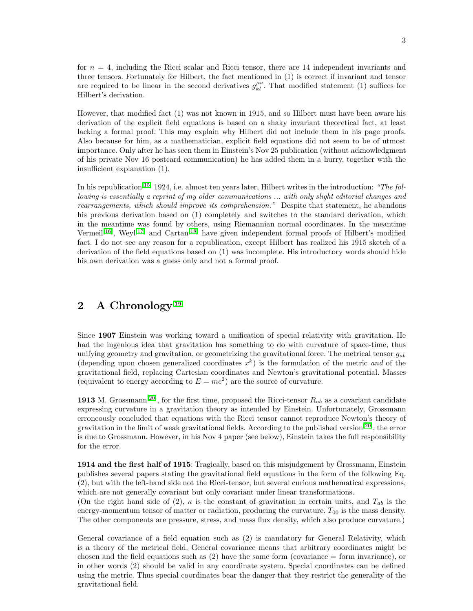for  $n = 4$ , including the Ricci scalar and Ricci tensor, there are 14 independent invariants and three tensors. Fortunately for Hilbert, the fact mentioned in (1) is correct if invariant and tensor are required to be linear in the second derivatives  $g_{kl}^{\mu\nu}$ . That modified statement (1) suffices for Hilbert's derivation.

However, that modified fact (1) was not known in 1915, and so Hilbert must have been aware his derivation of the explicit field equations is based on a shaky invariant theoretical fact, at least lacking a formal proof. This may explain why Hilbert did not include them in his page proofs. Also because for him, as a mathematician, explicit field equations did not seem to be of utmost importance. Only after he has seen them in Einstein's Nov 25 publication (without acknowledgment of his private Nov 16 postcard communication) he has added them in a hurry, together with the insufficient explanation (1).

In his republication<sup>[\[15\]](#page-25-12)</sup> 1924, i.e. almost ten years later, Hilbert writes in the introduction: "The following is essentially a reprint of my older communications ... with only slight editorial changes and rearrangements, which should improve its comprehension." Despite that statement, he abandons his previous derivation based on (1) completely and switches to the standard derivation, which in the meantime was found by others, using Riemannian normal coordinates. In the meantime Vermeil<sup>[\[16\]](#page-25-13)</sup>, Weyl<sup>[\[17\]](#page-26-0)</sup> and Cartan<sup>[\[18\]](#page-26-1)</sup> have given independent formal proofs of Hilbert's modified fact. I do not see any reason for a republication, except Hilbert has realized his 1915 sketch of a derivation of the field equations based on (1) was incomplete. His introductory words should hide his own derivation was a guess only and not a formal proof.

# 2 A Chronology<sup>[\[19\]](#page-26-2)</sup>

Since 1907 Einstein was working toward a unification of special relativity with gravitation. He had the ingenious idea that gravitation has something to do with curvature of space-time, thus unifying geometry and gravitation, or geometrizing the gravitational force. The metrical tensor  $q_{ab}$ (depending upon chosen generalized coordinates  $x^k$ ) is the formulation of the metric and of the gravitational field, replacing Cartesian coordinates and Newton's gravitational potential. Masses (equivalent to energy according to  $E = mc^2$ ) are the source of curvature.

1913 M. Grossmann<sup>[\[20\]](#page-26-3)</sup>, for the first time, proposed the Ricci-tensor  $R_{ab}$  as a covariant candidate expressing curvature in a gravitation theory as intended by Einstein. Unfortunately, Grossmann erroneously concluded that equations with the Ricci tensor cannot reproduce Newton's theory of gravitation in the limit of weak gravitational fields. According to the published version[\[20\]](#page-26-3), the error is due to Grossmann. However, in his Nov 4 paper (see below), Einstein takes the full responsibility for the error.

1914 and the first half of 1915: Tragically, based on this misjudgement by Grossmann, Einstein publishes several papers stating the gravitational field equations in the form of the following Eq. (2), but with the left-hand side not the Ricci-tensor, but several curious mathematical expressions, which are not generally covariant but only covariant under linear transformations.

(On the right hand side of (2),  $\kappa$  is the constant of gravitation in certain units, and  $T_{ab}$  is the energy-momentum tensor of matter or radiation, producing the curvature.  $T_{00}$  is the mass density. The other components are pressure, stress, and mass flux density, which also produce curvature.)

General covariance of a field equation such as (2) is mandatory for General Relativity, which is a theory of the metrical field. General covariance means that arbitrary coordinates might be chosen and the field equations such as  $(2)$  have the same form (covariance  $=$  form invariance), or in other words (2) should be valid in any coordinate system. Special coordinates can be defined using the metric. Thus special coordinates bear the danger that they restrict the generality of the gravitational field.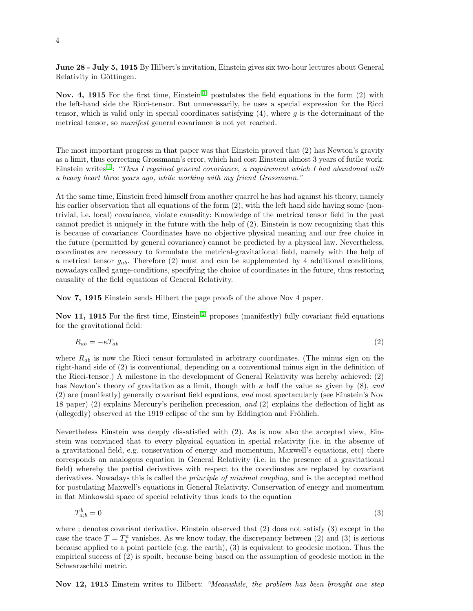June 28 - July 5, 1915 By Hilbert's invitation, Einstein gives six two-hour lectures about General Relativity in Göttingen.

Nov. 4, 1915 For the first time, Einstein<sup>[\[1\]](#page-24-0)</sup> postulates the field equations in the form (2) with the left-hand side the Ricci-tensor. But unnecessarily, he uses a special expression for the Ricci tensor, which is valid only in special coordinates satisfying  $(4)$ , where q is the determinant of the metrical tensor, so manifest general covariance is not yet reached.

The most important progress in that paper was that Einstein proved that (2) has Newton's gravity as a limit, thus correcting Grossmann's error, which had cost Einstein almost 3 years of futile work. Einstein writes<sup>[\[1\]](#page-24-0)</sup>: "Thus I regained general covariance, a requirement which I had abandoned with a heavy heart three years ago, while working with my friend Grossmann."

At the same time, Einstein freed himself from another quarrel he has had against his theory, namely his earlier observation that all equations of the form  $(2)$ , with the left hand side having some (nontrivial, i.e. local) covariance, violate causality: Knowledge of the metrical tensor field in the past cannot predict it uniquely in the future with the help of (2). Einstein is now recognizing that this is because of covariance: Coordinates have no objective physical meaning and our free choice in the future (permitted by general covariance) cannot be predicted by a physical law. Nevertheless, coordinates are necessary to formulate the metrical-gravitational field, namely with the help of a metrical tensor  $g_{ab}$ . Therefore (2) must and can be supplemented by 4 additional conditions, nowadays called gauge-conditions, specifying the choice of coordinates in the future, thus restoring causality of the field equations of General Relativity.

Nov 7, 1915 Einstein sends Hilbert the page proofs of the above Nov 4 paper.

Nov 11, 1915 For the first time, Einstein<sup>[\[1\]](#page-24-0)</sup> proposes (manifestly) fully covariant field equations for the gravitational field:

$$
R_{ab} = -\kappa T_{ab} \tag{2}
$$

where  $R_{ab}$  is now the Ricci tensor formulated in arbitrary coordinates. (The minus sign on the right-hand side of (2) is conventional, depending on a conventional minus sign in the definition of the Ricci-tensor.) A milestone in the development of General Relativity was hereby achieved: (2) has Newton's theory of gravitation as a limit, though with  $\kappa$  half the value as given by (8), and (2) are (manifestly) generally covariant field equations, and most spectacularly (see Einstein's Nov 18 paper) (2) explains Mercury's perihelion precession, and (2) explains the deflection of light as  $\alpha$  (allegedly) observed at the 1919 eclipse of the sun by Eddington and Fröhlich.

Nevertheless Einstein was deeply dissatisfied with (2). As is now also the accepted view, Einstein was convinced that to every physical equation in special relativity (i.e. in the absence of a gravitational field, e.g. conservation of energy and momentum, Maxwell's equations, etc) there corresponds an analogous equation in General Relativity (i.e. in the presence of a gravitational field) whereby the partial derivatives with respect to the coordinates are replaced by covariant derivatives. Nowadays this is called the *principle of minimal coupling*, and is the accepted method for postulating Maxwell's equations in General Relativity. Conservation of energy and momentum in flat Minkowski space of special relativity thus leads to the equation

$$
T_{a;b}^b = 0 \tag{3}
$$

where ; denotes covariant derivative. Einstein observed that (2) does not satisfy (3) except in the case the trace  $T = T_a^a$  vanishes. As we know today, the discrepancy between (2) and (3) is serious because applied to a point particle (e.g. the earth), (3) is equivalent to geodesic motion. Thus the empirical success of (2) is spoilt, because being based on the assumption of geodesic motion in the Schwarzschild metric.

Nov 12, 1915 Einstein writes to Hilbert: "Meanwhile, the problem has been brought one step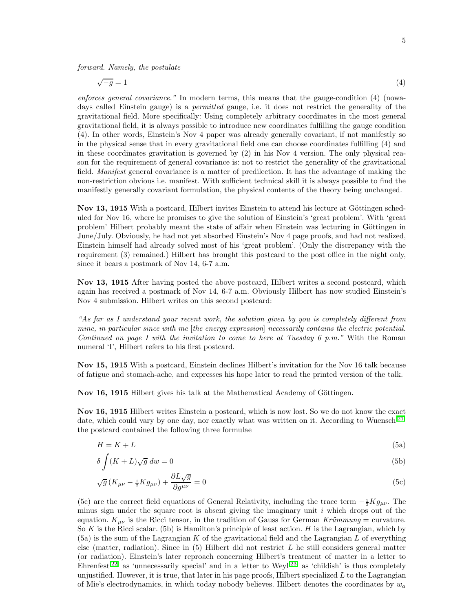forward. Namely, the postulate

$$
\sqrt{-g} = 1\tag{4}
$$

enforces general covariance." In modern terms, this means that the gauge-condition (4) (nowadays called Einstein gauge) is a *permitted* gauge, i.e. it does not restrict the generality of the gravitational field. More specifically: Using completely arbitrary coordinates in the most general gravitational field, it is always possible to introduce new coordinates fulfilling the gauge condition (4). In other words, Einstein's Nov 4 paper was already generally covariant, if not manifestly so in the physical sense that in every gravitational field one can choose coordinates fulfilling (4) and in these coordinates gravitation is governed by  $(2)$  in his Nov 4 version. The only physical reason for the requirement of general covariance is: not to restrict the generality of the gravitational field. Manifest general covariance is a matter of predilection. It has the advantage of making the non-restriction obvious i.e. manifest. With sufficient technical skill it is always possible to find the manifestly generally covariant formulation, the physical contents of the theory being unchanged.

Nov 13, 1915 With a postcard, Hilbert invites Einstein to attend his lecture at Göttingen scheduled for Nov 16, where he promises to give the solution of Einstein's 'great problem'. With 'great problem' Hilbert probably meant the state of affair when Einstein was lecturing in Göttingen in June/July. Obviously, he had not yet absorbed Einstein's Nov 4 page proofs, and had not realized, Einstein himself had already solved most of his 'great problem'. (Only the discrepancy with the requirement (3) remained.) Hilbert has brought this postcard to the post office in the night only, since it bears a postmark of Nov 14, 6-7 a.m.

Nov 13, 1915 After having posted the above postcard, Hilbert writes a second postcard, which again has received a postmark of Nov 14, 6-7 a.m. Obviously Hilbert has now studied Einstein's Nov 4 submission. Hilbert writes on this second postcard:

"As far as I understand your recent work, the solution given by you is completely different from mine, in particular since with me [the energy expression] necessarily contains the electric potential. Continued on page I with the invitation to come to here at Tuesday 6 p.m." With the Roman numeral 'I', Hilbert refers to his first postcard.

Nov 15, 1915 With a postcard, Einstein declines Hilbert's invitation for the Nov 16 talk because of fatigue and stomach-ache, and expresses his hope later to read the printed version of the talk.

Nov 16, 1915 Hilbert gives his talk at the Mathematical Academy of Göttingen.

Nov 16, 1915 Hilbert writes Einstein a postcard, which is now lost. So we do not know the exact date, which could vary by one day, nor exactly what was written on it. According to Wuensch<sup>[\[21\]](#page-26-4)</sup> the postcard contained the following three formulae

$$
H = K + L \tag{5a}
$$

$$
\delta \int (K+L)\sqrt{g} \, dw = 0 \tag{5b}
$$

$$
\sqrt{g}\left(K_{\mu\nu} - \frac{1}{2}Kg_{\mu\nu}\right) + \frac{\partial L\sqrt{g}}{\partial g^{\mu\nu}} = 0\tag{5c}
$$

(5c) are the correct field equations of General Relativity, including the trace term  $-\frac{1}{2}Kg_{\mu\nu}$ . The minus sign under the square root is absent giving the imaginary unit  $i$  which drops out of the equation.  $K_{\mu\nu}$  is the Ricci tensor, in the tradition of Gauss for German Krümmung = curvature. So K is the Ricci scalar. (5b) is Hamilton's principle of least action. H is the Lagrangian, which by  $(5a)$  is the sum of the Lagrangian K of the gravitational field and the Lagrangian L of everything else (matter, radiation). Since in  $(5)$  Hilbert did not restrict L he still considers general matter (or radiation). Einstein's later reproach concerning Hilbert's treatment of matter in a letter to Ehrenfest<sup>[\[22\]](#page-26-5)</sup> as 'unnecessarily special' and in a letter to Weyl<sup>[\[23\]](#page-26-6)</sup> as 'childish' is thus completely unjustified. However, it is true, that later in his page proofs, Hilbert specialized  $L$  to the Lagrangian of Mie's electrodynamics, in which today nobody believes. Hilbert denotes the coordinates by  $w_a$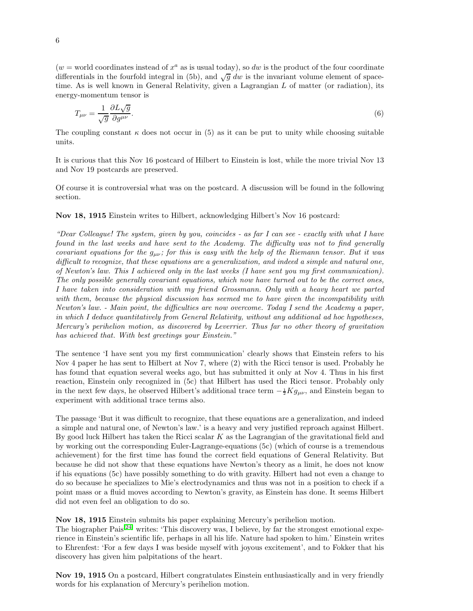$(w = \text{world coordinates instead of } x^a \text{ as is usual today}),$  so dw is the product of the four coordinate differentials in the fourfold integral in (5b), and  $\sqrt{g} dw$  is the invariant volume element of spacetime. As is well known in General Relativity, given a Lagrangian  $L$  of matter (or radiation), its energy-momentum tensor is

$$
T_{\mu\nu} = \frac{1}{\sqrt{g}} \frac{\partial L \sqrt{g}}{\partial g^{\mu\nu}}.
$$
\n<sup>(6)</sup>

The coupling constant  $\kappa$  does not occur in (5) as it can be put to unity while choosing suitable units.

It is curious that this Nov 16 postcard of Hilbert to Einstein is lost, while the more trivial Nov 13 and Nov 19 postcards are preserved.

Of course it is controversial what was on the postcard. A discussion will be found in the following section.

#### Nov 18, 1915 Einstein writes to Hilbert, acknowledging Hilbert's Nov 16 postcard:

"Dear Colleague! The system, given by you, coincides - as far I can see - exactly with what I have found in the last weeks and have sent to the Academy. The difficulty was not to find generally covariant equations for the  $g_{\mu\nu}$ ; for this is easy with the help of the Riemann tensor. But it was difficult to recognize, that these equations are a generalization, and indeed a simple and natural one, of Newton's law. This I achieved only in the last weeks (I have sent you my first communication). The only possible generally covariant equations, which now have turned out to be the correct ones, I have taken into consideration with my friend Grossmann. Only with a heavy heart we parted with them, because the physical discussion has seemed me to have given the incompatibility with Newton's law. - Main point, the difficulties are now overcome. Today I send the Academy a paper, in which I deduce quantitatively from General Relativity, without any additional ad hoc hypotheses, Mercury's perihelion motion, as discovered by Leverrier. Thus far no other theory of gravitation has achieved that. With best greetings your Einstein."

The sentence 'I have sent you my first communication' clearly shows that Einstein refers to his Nov 4 paper he has sent to Hilbert at Nov 7, where (2) with the Ricci tensor is used. Probably he has found that equation several weeks ago, but has submitted it only at Nov 4. Thus in his first reaction, Einstein only recognized in (5c) that Hilbert has used the Ricci tensor. Probably only in the next few days, he observed Hilbert's additional trace term  $-\frac{1}{2}Kg_{\mu\nu}$ , and Einstein began to experiment with additional trace terms also.

The passage 'But it was difficult to recognize, that these equations are a generalization, and indeed a simple and natural one, of Newton's law.' is a heavy and very justified reproach against Hilbert. By good luck Hilbert has taken the Ricci scalar K as the Lagrangian of the gravitational field and by working out the corresponding Euler-Lagrange-equations (5c) (which of course is a tremendous achievement) for the first time has found the correct field equations of General Relativity. But because he did not show that these equations have Newton's theory as a limit, he does not know if his equations (5c) have possibly something to do with gravity. Hilbert had not even a change to do so because he specializes to Mie's electrodynamics and thus was not in a position to check if a point mass or a fluid moves according to Newton's gravity, as Einstein has done. It seems Hilbert did not even feel an obligation to do so.

Nov 18, 1915 Einstein submits his paper explaining Mercury's perihelion motion.

The biographer  $\text{Pais}^{[24]}$  $\text{Pais}^{[24]}$  $\text{Pais}^{[24]}$  writes: 'This discovery was, I believe, by far the strongest emotional experience in Einstein's scientific life, perhaps in all his life. Nature had spoken to him.' Einstein writes to Ehrenfest: 'For a few days I was beside myself with joyous excitement', and to Fokker that his discovery has given him palpitations of the heart.

Nov 19, 1915 On a postcard, Hilbert congratulates Einstein enthusiastically and in very friendly words for his explanation of Mercury's perihelion motion.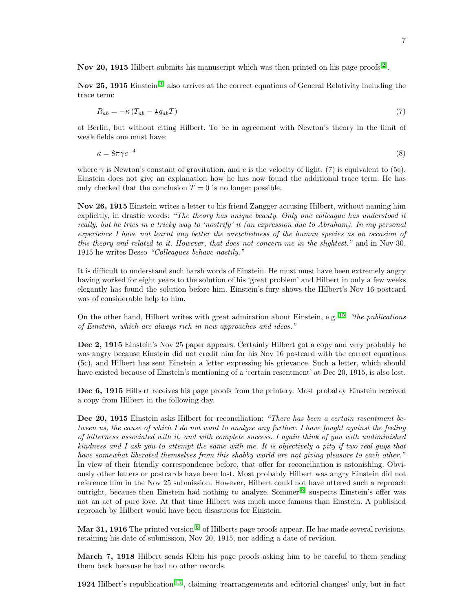Nov 20, 1915 Hilbert submits his manuscript which was then printed on his page proofs<sup>[\[2\]](#page-24-1)</sup>.

Nov 25, 1915 Einstein<sup>[\[3\]](#page-25-0)</sup> also arrives at the correct equations of General Relativity including the trace term:

$$
R_{ab} = -\kappa \left( T_{ab} - \frac{1}{2} g_{ab} T \right) \tag{7}
$$

at Berlin, but without citing Hilbert. To be in agreement with Newton's theory in the limit of weak fields one must have:

 $\kappa = 8\pi \gamma c^{-4}$ (8)

where  $\gamma$  is Newton's constant of gravitation, and c is the velocity of light. (7) is equivalent to (5c). Einstein does not give an explanation how he has now found the additional trace term. He has only checked that the conclusion  $T = 0$  is no longer possible.

Nov 26, 1915 Einstein writes a letter to his friend Zangger accusing Hilbert, without naming him explicitly, in drastic words: "The theory has unique beauty. Only one colleague has understood it really, but he tries in a tricky way to 'nostrify' it (an expression due to Abraham). In my personal experience I have not learnt any better the wretchedness of the human species as on occasion of this theory and related to it. However, that does not concern me in the slightest." and in Nov 30, 1915 he writes Besso "Colleagues behave nastily."

It is difficult to understand such harsh words of Einstein. He must must have been extremely angry having worked for eight years to the solution of his 'great problem' and Hilbert in only a few weeks elegantly has found the solution before him. Einstein's fury shows the Hilbert's Nov 16 postcard was of considerable help to him.

On the other hand, Hilbert writes with great admiration about Einstein, e.g.  $^{[15]}$  $^{[15]}$  $^{[15]}$  "the publications" of Einstein, which are always rich in new approaches and ideas."

Dec 2, 1915 Einstein's Nov 25 paper appears. Certainly Hilbert got a copy and very probably he was angry because Einstein did not credit him for his Nov 16 postcard with the correct equations (5c), and Hilbert has sent Einstein a letter expressing his grievance. Such a letter, which should have existed because of Einstein's mentioning of a 'certain resentment' at Dec 20, 1915, is also lost.

Dec 6, 1915 Hilbert receives his page proofs from the printery. Most probably Einstein received a copy from Hilbert in the following day.

Dec 20, 1915 Einstein asks Hilbert for reconciliation: "There has been a certain resentment between us, the cause of which I do not want to analyze any further. I have fought against the feeling of bitterness associated with it, and with complete success. I again think of you with undiminished kindness and I ask you to attempt the same with me. It is objectively a pity if two real guys that have somewhat liberated themselves from this shabby world are not giving pleasure to each other." In view of their friendly correspondence before, that offer for reconciliation is astonishing. Obviously other letters or postcards have been lost. Most probably Hilbert was angry Einstein did not reference him in the Nov 25 submission. However, Hilbert could not have uttered such a reproach outright, because then Einstein had nothing to analyze. Sommer[\[8\]](#page-25-5) suspects Einstein's offer was not an act of pure love. At that time Hilbert was much more famous than Einstein. A published reproach by Hilbert would have been disastrous for Einstein.

**Mar 31, 1916** The printed version<sup>[\[6\]](#page-25-3)</sup> of Hilberts page proofs appear. He has made several revisions, retaining his date of submission, Nov 20, 1915, nor adding a date of revision.

March 7, 1918 Hilbert sends Klein his page proofs asking him to be careful to them sending them back because he had no other records.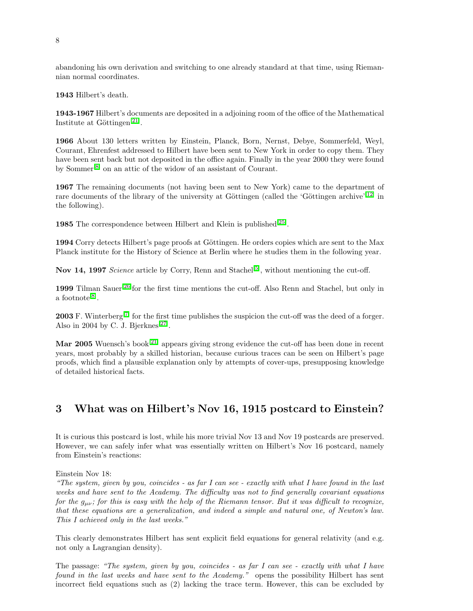abandoning his own derivation and switching to one already standard at that time, using Riemannian normal coordinates.

1943 Hilbert's death.

1943-1967 Hilbert's documents are deposited in a adjoining room of the office of the Mathematical Institute at Göttingen<sup>[\[21\]](#page-26-4)</sup>.

1966 About 130 letters written by Einstein, Planck, Born, Nernst, Debye, Sommerfeld, Weyl, Courant, Ehrenfest addressed to Hilbert have been sent to New York in order to copy them. They have been sent back but not deposited in the office again. Finally in the year 2000 they were found by Sommer[\[8\]](#page-25-5) on an attic of the widow of an assistant of Courant.

1967 The remaining documents (not having been sent to New York) came to the department of rare documents of the library of the university at Göttingen (called the 'Göttingen archive'<sup>[\[12\]](#page-25-9)</sup> in the following).

1985 The correspondence between Hilbert and Klein is published<sup>[\[25\]](#page-26-8)</sup>.

1994 Corry detects Hilbert's page proofs at Göttingen. He orders copies which are sent to the Max Planck institute for the History of Science at Berlin where he studies them in the following year.

Nov 14, 1997 Science article by Corry, Renn and Stachel<sup>[\[5\]](#page-25-2)</sup>, without mentioning the cut-off.

1999 Tilman Sauer<sup>[\[26\]](#page-26-9)</sup>for the first time mentions the cut-off. Also Renn and Stachel, but only in a footnote<sup>[\[8\]](#page-25-5)</sup>.

**2003** F. Winterberg<sup>[\[7\]](#page-25-4)</sup> for the first time publishes the suspicion the cut-off was the deed of a forger. Also in 2004 by C. J. Bjerknes<sup>[\[27\]](#page-26-10)</sup>.

Mar 2005 Wuensch's book<sup>[\[21\]](#page-26-4)</sup> appears giving strong evidence the cut-off has been done in recent years, most probably by a skilled historian, because curious traces can be seen on Hilbert's page proofs, which find a plausible explanation only by attempts of cover-ups, presupposing knowledge of detailed historical facts.

## 3 What was on Hilbert's Nov 16, 1915 postcard to Einstein?

It is curious this postcard is lost, while his more trivial Nov 13 and Nov 19 postcards are preserved. However, we can safely infer what was essentially written on Hilbert's Nov 16 postcard, namely from Einstein's reactions:

Einstein Nov 18:

"The system, given by you, coincides - as far I can see - exactly with what I have found in the last weeks and have sent to the Academy. The difficulty was not to find generally covariant equations for the  $g_{\mu\nu}$ ; for this is easy with the help of the Riemann tensor. But it was difficult to recognize, that these equations are a generalization, and indeed a simple and natural one, of Newton's law. This I achieved only in the last weeks."

This clearly demonstrates Hilbert has sent explicit field equations for general relativity (and e.g. not only a Lagrangian density).

The passage: "The system, given by you, coincides - as far I can see - exactly with what I have found in the last weeks and have sent to the Academy." opens the possibility Hilbert has sent incorrect field equations such as (2) lacking the trace term. However, this can be excluded by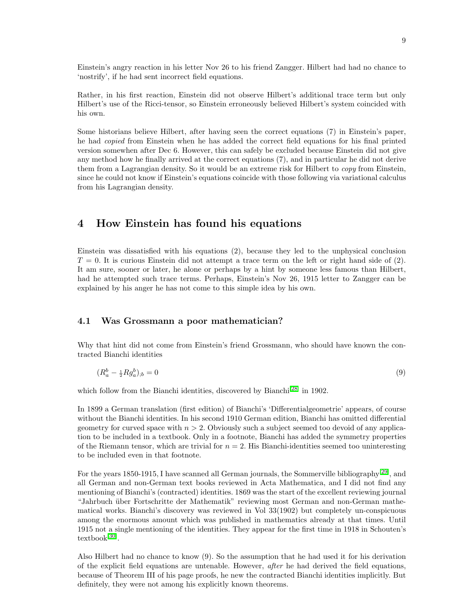Einstein's angry reaction in his letter Nov 26 to his friend Zangger. Hilbert had had no chance to 'nostrify', if he had sent incorrect field equations.

Rather, in his first reaction, Einstein did not observe Hilbert's additional trace term but only Hilbert's use of the Ricci-tensor, so Einstein erroneously believed Hilbert's system coincided with his own.

Some historians believe Hilbert, after having seen the correct equations (7) in Einstein's paper, he had copied from Einstein when he has added the correct field equations for his final printed version somewhen after Dec 6. However, this can safely be excluded because Einstein did not give any method how he finally arrived at the correct equations (7), and in particular he did not derive them from a Lagrangian density. So it would be an extreme risk for Hilbert to *copy* from Einstein, since he could not know if Einstein's equations coincide with those following via variational calculus from his Lagrangian density.

## 4 How Einstein has found his equations

Einstein was dissatisfied with his equations (2), because they led to the unphysical conclusion  $T = 0$ . It is curious Einstein did not attempt a trace term on the left or right hand side of (2). It am sure, sooner or later, he alone or perhaps by a hint by someone less famous than Hilbert, had he attempted such trace terms. Perhaps, Einstein's Nov 26, 1915 letter to Zangger can be explained by his anger he has not come to this simple idea by his own.

#### 4.1 Was Grossmann a poor mathematician?

Why that hint did not come from Einstein's friend Grossmann, who should have known the contracted Bianchi identities

$$
(R_a^b - \frac{1}{2} R g_a^b)_{;b} = 0 \tag{9}
$$

which follow from the Bianchi identities, discovered by Bianchi<sup>[\[28\]](#page-26-11)</sup> in 1902.

In 1899 a German translation (first edition) of Bianchi's 'Differentialgeometrie' appears, of course without the Bianchi identities. In his second 1910 German edition, Bianchi has omitted differential geometry for curved space with  $n > 2$ . Obviously such a subject seemed too devoid of any application to be included in a textbook. Only in a footnote, Bianchi has added the symmetry properties of the Riemann tensor, which are trivial for  $n = 2$ . His Bianchi-identities seemed too uninteresting to be included even in that footnote.

For the years 1850-1915, I have scanned all German journals, the Sommerville bibliography<sup>[\[29\]](#page-26-12)</sup>, and all German and non-German text books reviewed in Acta Mathematica, and I did not find any mentioning of Bianchi's (contracted) identities. 1869 was the start of the excellent reviewing journal "Jahrbuch über Fortschritte der Mathematik" reviewing most German and non-German mathematical works. Bianchi's discovery was reviewed in Vol 33(1902) but completely un-conspicuous among the enormous amount which was published in mathematics already at that times. Until 1915 not a single mentioning of the identities. They appear for the first time in 1918 in Schouten's textbook[\[30\]](#page-26-13) .

Also Hilbert had no chance to know (9). So the assumption that he had used it for his derivation of the explicit field equations are untenable. However, after he had derived the field equations, because of Theorem III of his page proofs, he new the contracted Bianchi identities implicitly. But definitely, they were not among his explicitly known theorems.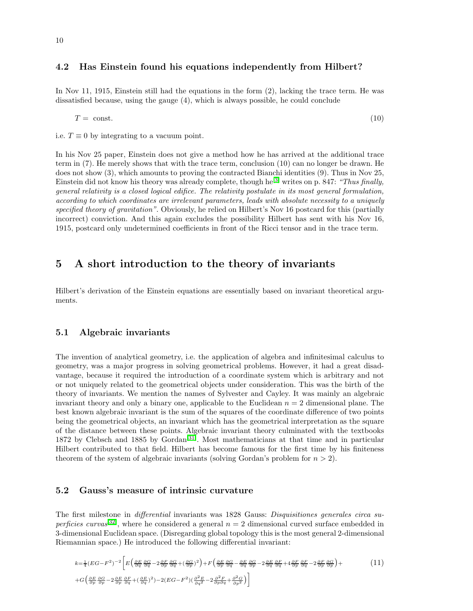#### 4.2 Has Einstein found his equations independently from Hilbert?

In Nov 11, 1915, Einstein still had the equations in the form (2), lacking the trace term. He was dissatisfied because, using the gauge (4), which is always possible, he could conclude

 $T = \text{const.}$  (10)

i.e.  $T \equiv 0$  by integrating to a vacuum point.

In his Nov 25 paper, Einstein does not give a method how he has arrived at the additional trace term in (7). He merely shows that with the trace term, conclusion (10) can no longer be drawn. He does not show (3), which amounts to proving the contracted Bianchi identities (9). Thus in Nov 25, Einstein did not know his theory was already complete, though he<sup>[\[3\]](#page-25-0)</sup> writes on p. 847: "Thus finally, general relativity is a closed logical edifice. The relativity postulate in its most general formulation, according to which coordinates are irrelevant parameters, leads with absolute necessity to a uniquely specified theory of gravitation". Obviously, he relied on Hilbert's Nov 16 postcard for this (partially incorrect) conviction. And this again excludes the possibility Hilbert has sent with his Nov 16, 1915, postcard only undetermined coefficients in front of the Ricci tensor and in the trace term.

## 5 A short introduction to the theory of invariants

Hilbert's derivation of the Einstein equations are essentially based on invariant theoretical arguments.

#### 5.1 Algebraic invariants

The invention of analytical geometry, i.e. the application of algebra and infinitesimal calculus to geometry, was a major progress in solving geometrical problems. However, it had a great disadvantage, because it required the introduction of a coordinate system which is arbitrary and not or not uniquely related to the geometrical objects under consideration. This was the birth of the theory of invariants. We mention the names of Sylvester and Cayley. It was mainly an algebraic invariant theory and only a binary one, applicable to the Euclidean  $n = 2$  dimensional plane. The best known algebraic invariant is the sum of the squares of the coordinate difference of two points being the geometrical objects, an invariant which has the geometrical interpretation as the square of the distance between these points. Algebraic invariant theory culminated with the textbooks 1872 by Clebsch and 1885 by Gordan<sup>[\[31\]](#page-26-14)</sup>. Most mathematicians at that time and in particular Hilbert contributed to that field. Hilbert has become famous for the first time by his finiteness theorem of the system of algebraic invariants (solving Gordan's problem for  $n > 2$ ).

#### 5.2 Gauss's measure of intrinsic curvature

The first milestone in differential invariants was 1828 Gauss: Disquisitiones generales circa su-perficies curvas<sup>[\[32\]](#page-26-15)</sup>, where he considered a general  $n = 2$  dimensional curved surface embedded in 3-dimensional Euclidean space. (Disregarding global topology this is the most general 2-dimensional Riemannian space.) He introduced the following differential invariant:

$$
k = \frac{1}{4}(EG - F^2)^{-2} \left[ E \left( \frac{\partial E}{\partial q} \frac{\partial G}{\partial q} - 2 \frac{\partial F}{\partial p} \frac{\partial G}{\partial q} + (\frac{\partial G}{\partial p})^2 \right) + F \left( \frac{\partial E}{\partial p} \frac{\partial G}{\partial q} - \frac{\partial E}{\partial q} \frac{\partial G}{\partial p} - 2 \frac{\partial E}{\partial q} \frac{\partial F}{\partial q} + 4 \frac{\partial F}{\partial p} \frac{\partial F}{\partial q} - 2 \frac{\partial F}{\partial p} \frac{\partial G}{\partial q} \right) + G \left( \frac{\partial E}{\partial p} \frac{\partial G}{\partial p} - 2 \frac{\partial E}{\partial p} \frac{\partial F}{\partial q} + (\frac{\partial E}{\partial q})^2 \right) - 2(EG - F^2) \left( \frac{\partial^2 E}{\partial q^2} - 2 \frac{\partial^2 F}{\partial p \partial q} + \frac{\partial^2 G}{\partial p^2} \right) \right]
$$
\n
$$
(11)
$$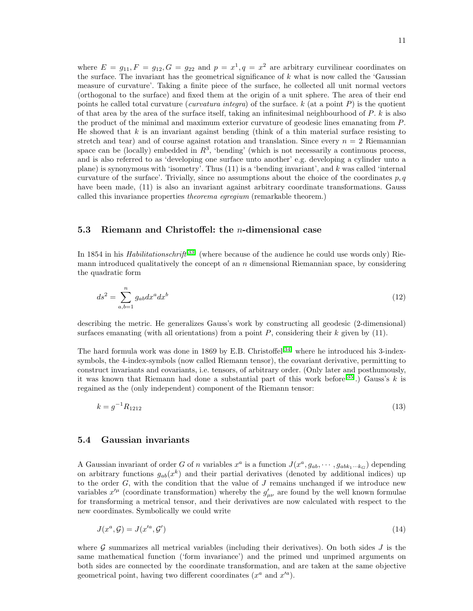where  $E = g_{11}, F = g_{12}, G = g_{22}$  and  $p = x^1, q = x^2$  are arbitrary curvilinear coordinates on the surface. The invariant has the geometrical significance of  $k$  what is now called the 'Gaussian measure of curvature'. Taking a finite piece of the surface, he collected all unit normal vectors (orthogonal to the surface) and fixed them at the origin of a unit sphere. The area of their end points he called total curvature (*curvatura integra*) of the surface.  $k$  (at a point P) is the quotient of that area by the area of the surface itself, taking an infinitesimal neighbourhood of  $P$ .  $k$  is also the product of the minimal and maximum exterior curvature of geodesic lines emanating from P. He showed that  $k$  is an invariant against bending (think of a thin material surface resisting to stretch and tear) and of course against rotation and translation. Since every  $n = 2$  Riemannian space can be (locally) embedded in  $R^3$ , 'bending' (which is not necessarily a continuous process, and is also referred to as 'developing one surface unto another' e.g. developing a cylinder unto a plane) is synonymous with 'isometry'. Thus  $(11)$  is a 'bending invariant', and k was called 'internal curvature of the surface'. Trivially, since no assumptions about the choice of the coordinates  $p, q$ have been made, (11) is also an invariant against arbitrary coordinate transformations. Gauss called this invariance properties theorema egregium (remarkable theorem.)

#### 5.3 Riemann and Christoffel: the n-dimensional case

In 1854 in his *Habilitationschrift*<sup>[\[33\]](#page-26-16)</sup> (where because of the audience he could use words only) Riemann introduced qualitatively the concept of an  $n$  dimensional Riemannian space, by considering the quadratic form

$$
ds^2 = \sum_{a,b=1}^n g_{ab} dx^a dx^b
$$
 (12)

describing the metric. He generalizes Gauss's work by constructing all geodesic (2-dimensional) surfaces emanating (with all orientations) from a point  $P$ , considering their  $k$  given by (11).

The hard formula work was done in 1869 by E.B. Christoffel<sup>[\[34\]](#page-26-17)</sup> where he introduced his 3-indexsymbols, the 4-index-symbols (now called Riemann tensor), the covariant derivative, permitting to construct invariants and covariants, i.e. tensors, of arbitrary order. (Only later and posthumously, it was known that Riemann had done a substantial part of this work before<sup>[\[35\]](#page-26-18)</sup>.) Gauss's k is regained as the (only independent) component of the Riemann tensor:

$$
k = g^{-1}R_{1212} \tag{13}
$$

#### 5.4 Gaussian invariants

A Gaussian invariant of order G of n variables  $x^a$  is a function  $J(x^a, g_{ab}, \dots, g_{abk_1 \dots k_G})$  depending on arbitrary functions  $g_{ab}(x^k)$  and their partial derivatives (denoted by additional indices) up to the order  $G$ , with the condition that the value of  $J$  remains unchanged if we introduce new variables  $x'^{\mu}$  (coordinate transformation) whereby the  $g'_{\mu\nu}$  are found by the well known formulae for transforming a metrical tensor, and their derivatives are now calculated with respect to the new coordinates. Symbolically we could write

$$
J(x^a, \mathcal{G}) = J(x'^a, \mathcal{G}') \tag{14}
$$

where  $G$  summarizes all metrical variables (including their derivatives). On both sides  $J$  is the same mathematical function ('form invariance') and the primed und unprimed arguments on both sides are connected by the coordinate transformation, and are taken at the same objective geometrical point, having two different coordinates  $(x^a \text{ and } x'^a)$ .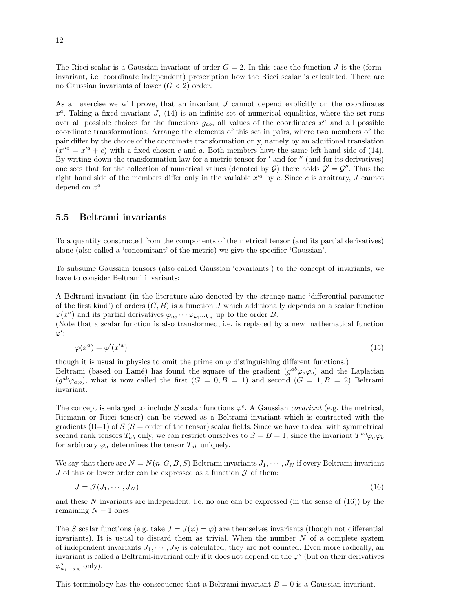The Ricci scalar is a Gaussian invariant of order  $G = 2$ . In this case the function J is the (forminvariant, i.e. coordinate independent) prescription how the Ricci scalar is calculated. There are no Gaussian invariants of lower  $(G < 2)$  order.

As an exercise we will prove, that an invariant J cannot depend explicitly on the coordinates  $x^a$ . Taking a fixed invariant J, (14) is an infinite set of numerical equalities, where the set runs over all possible choices for the functions  $g_{ab}$ , all values of the coordinates  $x^a$  and all possible coordinate transformations. Arrange the elements of this set in pairs, where two members of the pair differ by the choice of the coordinate transformation only, namely by an additional translation  $(x''^a = x'^a + c)$  with a fixed chosen c and a. Both members have the same left hand side of (14). By writing down the transformation law for a metric tensor for ' and for " (and for its derivatives) one sees that for the collection of numerical values (denoted by  $G$ ) there holds  $G' = G''$ . Thus the right hand side of the members differ only in the variable  $x'^a$  by c. Since c is arbitrary, J cannot depend on  $x^a$ .

#### 5.5 Beltrami invariants

To a quantity constructed from the components of the metrical tensor (and its partial derivatives) alone (also called a 'concomitant' of the metric) we give the specifier 'Gaussian'.

To subsume Gaussian tensors (also called Gaussian 'covariants') to the concept of invariants, we have to consider Beltrami invariants:

A Beltrami invariant (in the literature also denoted by the strange name 'differential parameter of the first kind') of orders  $(G, B)$  is a function J which additionally depends on a scalar function  $\varphi(x^a)$  and its partial derivatives  $\varphi_a, \dots \varphi_{k_1 \dots k_B}$  up to the order B.

(Note that a scalar function is also transformed, i.e. is replaced by a new mathematical function  $\varphi'$ :

$$
\varphi(x^a) = \varphi'(x'^a) \tag{15}
$$

though it is usual in physics to omit the prime on  $\varphi$  distinguishing different functions.) Beltrami (based on Lamé) has found the square of the gradient  $(g^{ab}\varphi_a\varphi_b)$  and the Laplacian  $(g^{ab}\varphi_{a;b})$ , what is now called the first  $(G = 0, B = 1)$  and second  $(G = 1, B = 2)$  Beltrami invariant.

The concept is enlarged to include S scalar functions  $\varphi^s$ . A Gaussian *covariant* (e.g. the metrical, Riemann or Ricci tensor) can be viewed as a Beltrami invariant which is contracted with the gradients  $(B=1)$  of  $S(S=$  order of the tensor) scalar fields. Since we have to deal with symmetrical second rank tensors  $T_{ab}$  only, we can restrict ourselves to  $S = B = 1$ , since the invariant  $T^{ab}\varphi_a\varphi_b$ for arbitrary  $\varphi_a$  determines the tensor  $T_{ab}$  uniquely.

We say that there are  $N = N(n, G, B, S)$  Beltrami invariants  $J_1, \dots, J_N$  if every Beltrami invariant J of this or lower order can be expressed as a function  $\mathcal J$  of them:

$$
J = \mathcal{J}(J_1, \cdots, J_N) \tag{16}
$$

and these N invariants are independent, i.e. no one can be expressed (in the sense of  $(16)$ ) by the remaining  $N-1$  ones.

The S scalar functions (e.g. take  $J = J(\varphi) = \varphi$ ) are themselves invariants (though not differential invariants). It is usual to discard them as trivial. When the number  $N$  of a complete system of independent invariants  $J_1, \dots, J_N$  is calculated, they are not counted. Even more radically, an invariant is called a Beltrami-invariant only if it does not depend on the  $\varphi^s$  (but on their derivatives  $\varphi_{a_1\cdots a_B}^s$  only).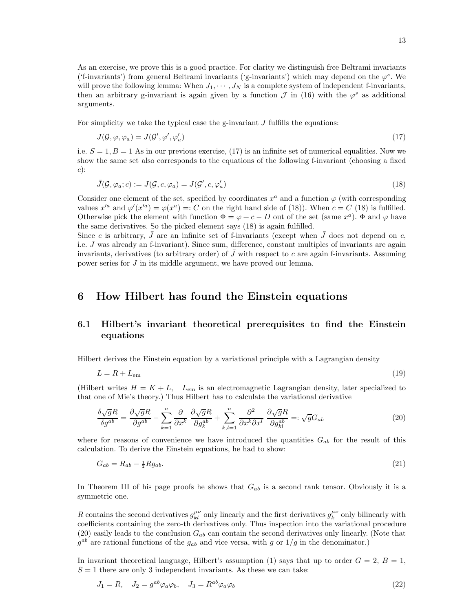As an exercise, we prove this is a good practice. For clarity we distinguish free Beltrami invariants ('f-invariants') from general Beltrami invariants ('g-invariants') which may depend on the  $\varphi^s$ . We will prove the following lemma: When  $J_1, \dots, J_N$  is a complete system of independent f-invariants, then an arbitrary g-invariant is again given by a function  $\mathcal J$  in (16) with the  $\varphi^s$  as additional arguments.

For simplicity we take the typical case the g-invariant  $J$  fulfills the equations:

$$
J(\mathcal{G}, \varphi, \varphi_a) = J(\mathcal{G}', \varphi', \varphi'_a) \tag{17}
$$

i.e.  $S = 1, B = 1$  As in our previous exercise, (17) is an infinite set of numerical equalities. Now we show the same set also corresponds to the equations of the following f-invariant (choosing a fixed  $c)$ :

$$
\bar{J}(\mathcal{G}, \varphi_a; c) := J(\mathcal{G}, c, \varphi_a) = J(\mathcal{G}', c, \varphi'_a)
$$
\n(18)

Consider one element of the set, specified by coordinates  $x^a$  and a function  $\varphi$  (with corresponding values  $x'^a$  and  $\varphi'(x'^a) = \varphi(x^a) =: C$  on the right hand side of (18)). When  $c = C$  (18) is fulfilled. Otherwise pick the element with function  $\Phi = \varphi + c - D$  out of the set (same  $x^a$ ).  $\Phi$  and  $\varphi$  have the same derivatives. So the picked element says (18) is again fulfilled.

Since c is arbitrary,  $\bar{J}$  are an infinite set of f-invariants (except when  $\bar{J}$  does not depend on c, i.e. J was already an f-invariant). Since sum, difference, constant multiples of invariants are again invariants, derivatives (to arbitrary order) of  $\bar{J}$  with respect to c are again f-invariants. Assuming power series for J in its middle argument, we have proved our lemma.

## 6 How Hilbert has found the Einstein equations

## 6.1 Hilbert's invariant theoretical prerequisites to find the Einstein equations

Hilbert derives the Einstein equation by a variational principle with a Lagrangian density

$$
L = R + L_{\rm em} \tag{19}
$$

(Hilbert writes  $H = K + L$ ,  $L_{em}$  is an electromagnetic Lagrangian density, later specialized to that one of Mie's theory.) Thus Hilbert has to calculate the variational derivative

$$
\frac{\delta\sqrt{g}R}{\delta g^{ab}} = \frac{\partial\sqrt{g}R}{\partial g^{ab}} - \sum_{k=1}^{n} \frac{\partial}{\partial x^k} \frac{\partial\sqrt{g}R}{\partial g^{ab}_k} + \sum_{k,l=1}^{n} \frac{\partial^2}{\partial x^k \partial x^l} \frac{\partial\sqrt{g}R}{\partial g^{ab}_{kl}} =: \sqrt{g}G_{ab}
$$
(20)

where for reasons of convenience we have introduced the quantities  $G_{ab}$  for the result of this calculation. To derive the Einstein equations, he had to show:

$$
G_{ab} = R_{ab} - \frac{1}{2} R g_{ab}.\tag{21}
$$

In Theorem III of his page proofs he shows that  $G_{ab}$  is a second rank tensor. Obviously it is a symmetric one.

R contains the second derivatives  $g_{kl}^{\mu\nu}$  only linearly and the first derivatives  $g_k^{\mu\nu}$  only bilinearly with coefficients containing the zero-th derivatives only. Thus inspection into the variational procedure  $(20)$  easily leads to the conclusion  $G_{ab}$  can contain the second derivatives only linearly. (Note that  $g^{ab}$  are rational functions of the  $g_{ab}$  and vice versa, with g or  $1/g$  in the denominator.)

In invariant theoretical language, Hilbert's assumption (1) says that up to order  $G = 2$ ,  $B = 1$ ,  $S = 1$  there are only 3 independent invariants. As these we can take: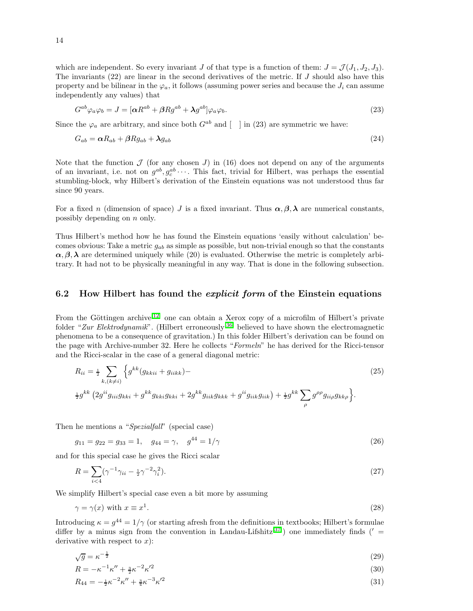which are independent. So every invariant J of that type is a function of them:  $J = \mathcal{J}(J_1, J_2, J_3)$ . The invariants  $(22)$  are linear in the second derivatives of the metric. If J should also have this property and be bilinear in the  $\varphi_a$ , it follows (assuming power series and because the  $J_i$  can assume independently any values) that

$$
G^{ab}\varphi_a\varphi_b = J = [\alpha R^{ab} + \beta Rg^{ab} + \lambda g^{ab}]\varphi_a\varphi_b.
$$
\n(23)

Since the  $\varphi_a$  are arbitrary, and since both  $G^{ab}$  and  $\lceil \cdot \rceil$  in (23) are symmetric we have:

$$
G_{ab} = \alpha R_{ab} + \beta R g_{ab} + \lambda g_{ab} \tag{24}
$$

Note that the function  $\mathcal J$  (for any chosen J) in (16) does not depend on any of the arguments of an invariant, i.e. not on  $g^{ab}, g_c^{ab}$ .... This fact, trivial for Hilbert, was perhaps the essential stumbling-block, why Hilbert's derivation of the Einstein equations was not understood thus far since 90 years.

For a fixed n (dimension of space) J is a fixed invariant. Thus  $\alpha, \beta, \lambda$  are numerical constants, possibly depending on n only.

Thus Hilbert's method how he has found the Einstein equations 'easily without calculation' becomes obvious: Take a metric  $g_{ab}$  as simple as possible, but non-trivial enough so that the constants  $\alpha, \beta, \lambda$  are determined uniquely while (20) is evaluated. Otherwise the metric is completely arbitrary. It had not to be physically meaningful in any way. That is done in the following subsection.

#### 6.2 How Hilbert has found the *explicit form* of the Einstein equations

From the Göttingen archive<sup>[\[12\]](#page-25-9)</sup> one can obtain a Xerox copy of a microfilm of Hilbert's private folder "Zur Elektrodynamik". (Hilbert erroneously<sup>[\[36\]](#page-27-0)</sup> believed to have shown the electromagnetic phenomena to be a consequence of gravitation.) In this folder Hilbert's derivation can be found on the page with Archive-number 32. Here he collects "Formeln" he has derived for the Ricci-tensor and the Ricci-scalar in the case of a general diagonal metric:

$$
R_{ii} = \frac{1}{2} \sum_{k,(k \neq i)} \left\{ g^{kk} (g_{kki} + g_{iikk}) - g^{kk} (g_{kki} + g^{jik} g_{kki} + g^{kk} g_{lik} g_{kkk} + g^{ij} g_{iik} g_{iik}) + \frac{1}{2} g^{kk} \sum_{\rho} g^{\rho \rho} g_{i\alpha\beta} g_{k\alpha} \right\}.
$$
\n
$$
(25)
$$

Then he mentions a "Spezialfall" (special case)

 $g_{11} = g_{22} = g_{33} = 1$ ,  $g_{44} = \gamma$ ,  $g^{44} = 1/\gamma$  (26)

and for this special case he gives the Ricci scalar

$$
R = \sum_{i < 4} (\gamma^{-1} \gamma_{ii} - \frac{1}{2} \gamma^{-2} \gamma_i^2). \tag{27}
$$

We simplify Hilbert's special case even a bit more by assuming

$$
\gamma = \gamma(x) \text{ with } x \equiv x^1. \tag{28}
$$

Introducing  $\kappa = g^{44} = 1/\gamma$  (or starting afresh from the definitions in textbooks; Hilbert's formulae differ by a minus sign from the convention in Landau-Lifshitz<sup>[\[37\]](#page-27-1)</sup>) one immediately finds ( $' =$ derivative with respect to  $x$ ):

$$
\sqrt{g} = \kappa^{-\frac{1}{2}}\tag{29}
$$

$$
R = -\kappa^{-1}\kappa'' + \frac{3}{2}\kappa^{-2}\kappa'^2\tag{30}
$$

$$
R_{44} = -\frac{1}{2}\kappa^{-2}\kappa'' + \frac{3}{4}\kappa^{-3}\kappa'^2\tag{31}
$$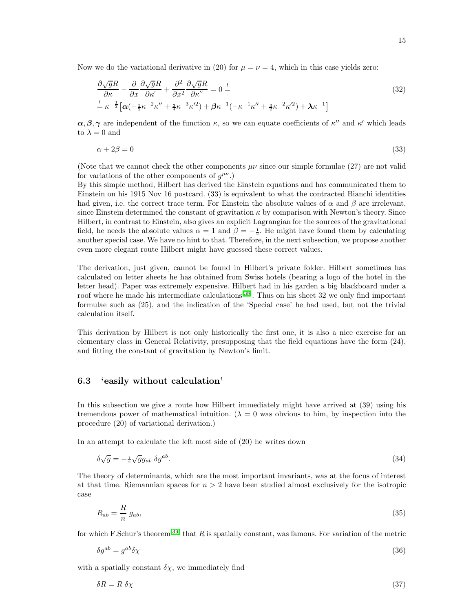Now we do the variational derivative in (20) for  $\mu = \nu = 4$ , which in this case yields zero:

$$
\frac{\partial\sqrt{g}R}{\partial\kappa} - \frac{\partial}{\partial x}\frac{\partial\sqrt{g}R}{\partial\kappa'} + \frac{\partial^2}{\partial x^2}\frac{\partial\sqrt{g}R}{\partial\kappa''} = 0 \stackrel{!}{=} \frac{!}{=} \kappa^{-\frac{1}{2}}\left[\alpha\left(-\frac{1}{2}\kappa^{-2}\kappa'' + \frac{3}{4}\kappa^{-3}\kappa'^2\right) + \beta\kappa^{-1}\left(-\kappa^{-1}\kappa'' + \frac{3}{2}\kappa^{-2}\kappa'^2\right) + \lambda\kappa^{-1}\right]
$$
\n(32)

 $\alpha, \beta, \gamma$  are independent of the function  $\kappa$ , so we can equate coefficients of  $\kappa''$  and  $\kappa'$  which leads to  $\lambda = 0$  and

$$
\alpha + 2\beta = 0 \tag{33}
$$

(Note that we cannot check the other components  $\mu\nu$  since our simple formulae (27) are not valid for variations of the other components of  $g^{\mu\nu}$ .)

By this simple method, Hilbert has derived the Einstein equations and has communicated them to Einstein on his 1915 Nov 16 postcard. (33) is equivalent to what the contracted Bianchi identities had given, i.e. the correct trace term. For Einstein the absolute values of  $\alpha$  and  $\beta$  are irrelevant, since Einstein determined the constant of gravitation  $\kappa$  by comparison with Newton's theory. Since Hilbert, in contrast to Einstein, also gives an explicit Lagrangian for the sources of the gravitational field, he needs the absolute values  $\alpha = 1$  and  $\beta = -\frac{1}{2}$ . He might have found them by calculating another special case. We have no hint to that. Therefore, in the next subsection, we propose another even more elegant route Hilbert might have guessed these correct values.

The derivation, just given, cannot be found in Hilbert's private folder. Hilbert sometimes has calculated on letter sheets he has obtained from Swiss hotels (bearing a logo of the hotel in the letter head). Paper was extremely expensive. Hilbert had in his garden a big blackboard under a roof where he made his intermediate calculations<sup>[\[38\]](#page-27-2)</sup>. Thus on his sheet 32 we only find important formulae such as (25), and the indication of the 'Special case' he had used, but not the trivial calculation itself.

This derivation by Hilbert is not only historically the first one, it is also a nice exercise for an elementary class in General Relativity, presupposing that the field equations have the form (24), and fitting the constant of gravitation by Newton's limit.

### 6.3 'easily without calculation'

In this subsection we give a route how Hilbert immediately might have arrived at (39) using his tremendous power of mathematical intuition. ( $\lambda = 0$  was obvious to him, by inspection into the procedure (20) of variational derivation.)

In an attempt to calculate the left most side of (20) he writes down

$$
\delta\sqrt{g} = -\frac{1}{2}\sqrt{g}g_{ab}\ \delta g^{ab}.\tag{34}
$$

The theory of determinants, which are the most important invariants, was at the focus of interest at that time. Riemannian spaces for  $n > 2$  have been studied almost exclusively for the isotropic case

$$
R_{ab} = \frac{R}{n} g_{ab},\tag{35}
$$

for which F.Schur's theorem<sup>[\[39\]](#page-27-3)</sup> that R is spatially constant, was famous. For variation of the metric

$$
\delta g^{ab} = g^{ab} \delta \chi \tag{36}
$$

with a spatially constant  $\delta \chi$ , we immediately find

$$
\delta R = R \ \delta \chi \tag{37}
$$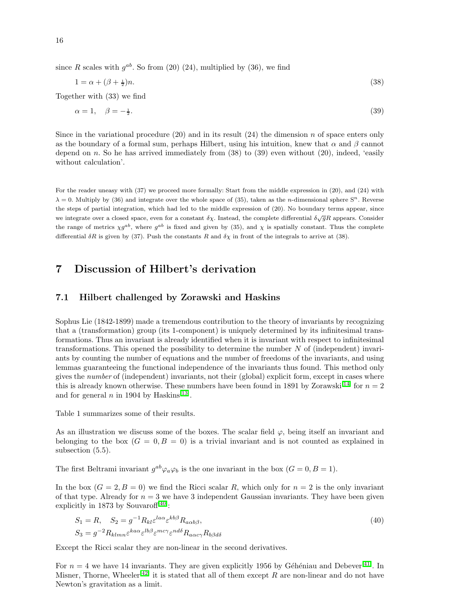since R scales with  $g^{ab}$ . So from (20) (24), multiplied by (36), we find

$$
1 = \alpha + (\beta + \frac{1}{2})n. \tag{38}
$$

Together with (33) we find

$$
\alpha = 1, \quad \beta = -\frac{1}{2}.\tag{39}
$$

Since in the variational procedure  $(20)$  and in its result  $(24)$  the dimension n of space enters only as the boundary of a formal sum, perhaps Hilbert, using his intuition, knew that  $\alpha$  and  $\beta$  cannot depend on n. So he has arrived immediately from  $(38)$  to  $(39)$  even without  $(20)$ , indeed, 'easily without calculation'.

For the reader uneasy with (37) we proceed more formally: Start from the middle expression in (20), and (24) with  $\lambda = 0$ . Multiply by (36) and integrate over the whole space of (35), taken as the *n*-dimensional sphere  $S<sup>n</sup>$ . Reverse the steps of partial integration, which had led to the middle expression of (20). No boundary terms appear, since we integrate over a closed space, even for a constant  $\delta\chi$ . Instead, the complete differential  $\delta\sqrt{g}R$  appears. Consider the range of metrics  $\chi g^{ab}$ , where  $g^{ab}$  is fixed and given by (35), and  $\chi$  is spatially constant. Thus the complete differential  $\delta R$  is given by (37). Push the constants R and  $\delta \chi$  in front of the integrals to arrive at (38).

## 7 Discussion of Hilbert's derivation

#### 7.1 Hilbert challenged by Zorawski and Haskins

Sophus Lie (1842-1899) made a tremendous contribution to the theory of invariants by recognizing that a (transformation) group (its 1-component) is uniquely determined by its infinitesimal transformations. Thus an invariant is already identified when it is invariant with respect to infinitesimal transformations. This opened the possibility to determine the number N of (independent) invariants by counting the number of equations and the number of freedoms of the invariants, and using lemmas guaranteeing the functional independence of the invariants thus found. This method only gives the number of (independent) invariants, not their (global) explicit form, except in cases where this is already known otherwise. These numbers have been found in 1891 by Zorawski<sup>[\[14\]](#page-25-11)</sup> for  $n = 2$ and for general  $n$  in 1904 by Haskins<sup>[\[13\]](#page-25-10)</sup>.

Table 1 summarizes some of their results.

As an illustration we discuss some of the boxes. The scalar field  $\varphi$ , being itself an invariant and belonging to the box  $(G = 0, B = 0)$  is a trivial invariant and is not counted as explained in subsection (5.5).

The first Beltrami invariant  $g^{ab}\varphi_a\varphi_b$  is the one invariant in the box  $(G = 0, B = 1)$ .

In the box  $(G = 2, B = 0)$  we find the Ricci scalar R, which only for  $n = 2$  is the only invariant of that type. Already for  $n = 3$  we have 3 independent Gaussian invariants. They have been given explicitly in 1873 by Souvaroff<sup>[\[40\]](#page-27-4)</sup>:

$$
S_1 = R, \quad S_2 = g^{-1} R_{kl} \varepsilon^{l a \alpha} \varepsilon^{kb \beta} R_{a \alpha b \beta},
$$
  
\n
$$
S_3 = g^{-2} R_{klmn} \varepsilon^{k a \alpha} \varepsilon^{lb \beta} \varepsilon^{m c \gamma} \varepsilon^{nd \delta} R_{a \alpha c \gamma} R_{b \beta d \delta}
$$
\n(40)

Except the Ricci scalar they are non-linear in the second derivatives.

For  $n = 4$  we have 14 invariants. They are given explicitly 1956 by Géhéniau and Debever<sup>[\[41\]](#page-27-5)</sup>. In Misner, Thorne, Wheeler<sup>[\[42\]](#page-27-6)</sup> it is stated that all of them except R are non-linear and do not have Newton's gravitation as a limit.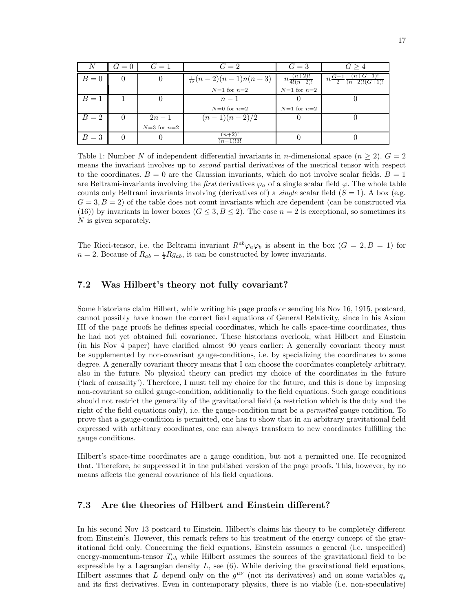|       | $G = 0$ | $G=1$           | $G=2$                          | $G=3$                       | G > 4                                         |
|-------|---------|-----------------|--------------------------------|-----------------------------|-----------------------------------------------|
| $B=0$ |         | U               | $\frac{1}{12}(n-2)(n-1)n(n+3)$ | $n \frac{(n+2)!}{4!(n-2)!}$ | $n\frac{G-1}{2}\frac{(n+G-1)!}{(n-2)!(G+1)!}$ |
|       |         |                 | $N=1$ for $n=2$                | $N=1$ for $n=2$             |                                               |
| $B=1$ |         |                 | $n-1$                          |                             |                                               |
|       |         |                 | $N=0$ for $n=2$                | $N=1$ for $n=2$             |                                               |
| $B=2$ | O       | $2n-1$          | $(n-1)(n-2)/2$                 |                             |                                               |
|       |         | $N=3$ for $n=2$ |                                |                             |                                               |
| $B=3$ |         |                 | $(n+2)!$<br>$(n-1)!3!$         |                             |                                               |

Table 1: Number N of independent differential invariants in n-dimensional space  $(n \geq 2)$ .  $G = 2$ means the invariant involves up to second partial derivatives of the metrical tensor with respect to the coordinates.  $B = 0$  are the Gaussian invariants, which do not involve scalar fields.  $B = 1$ are Beltrami-invariants involving the *first* derivatives  $\varphi_a$  of a single scalar field  $\varphi$ . The whole table counts only Beltrami invariants involving (derivatives of) a *single* scalar field  $(S = 1)$ . A box (e.g.  $G = 3, B = 2$ ) of the table does not count invariants which are dependent (can be constructed via (16)) by invariants in lower boxes ( $G \leq 3, B \leq 2$ ). The case  $n = 2$  is exceptional, so sometimes its N is given separately.

The Ricci-tensor, i.e. the Beltrami invariant  $R^{ab}\varphi_a\varphi_b$  is absent in the box  $(G = 2, B = 1)$  for  $n = 2$ . Because of  $R_{ab} = \frac{1}{2} R g_{ab}$ , it can be constructed by lower invariants.

#### 7.2 Was Hilbert's theory not fully covariant?

Some historians claim Hilbert, while writing his page proofs or sending his Nov 16, 1915, postcard, cannot possibly have known the correct field equations of General Relativity, since in his Axiom III of the page proofs he defines special coordinates, which he calls space-time coordinates, thus he had not yet obtained full covariance. These historians overlook, what Hilbert and Einstein (in his Nov 4 paper) have clarified almost 90 years earlier: A generally covariant theory must be supplemented by non-covariant gauge-conditions, i.e. by specializing the coordinates to some degree. A generally covariant theory means that I can choose the coordinates completely arbitrary, also in the future. No physical theory can predict my choice of the coordinates in the future ('lack of causality'). Therefore, I must tell my choice for the future, and this is done by imposing non-covariant so called gauge-condition, additionally to the field equations. Such gauge conditions should not restrict the generality of the gravitational field (a restriction which is the duty and the right of the field equations only), i.e. the gauge-condition must be a *permitted* gauge condition. To prove that a gauge-condition is permitted, one has to show that in an arbitrary gravitational field expressed with arbitrary coordinates, one can always transform to new coordinates fulfilling the gauge conditions.

Hilbert's space-time coordinates are a gauge condition, but not a permitted one. He recognized that. Therefore, he suppressed it in the published version of the page proofs. This, however, by no means affects the general covariance of his field equations.

### 7.3 Are the theories of Hilbert and Einstein different?

In his second Nov 13 postcard to Einstein, Hilbert's claims his theory to be completely different from Einstein's. However, this remark refers to his treatment of the energy concept of the gravitational field only. Concerning the field equations, Einstein assumes a general (i.e. unspecified) energy-momentum-tensor  $T_{ab}$  while Hilbert assumes the sources of the gravitational field to be expressible by a Lagrangian density  $L$ , see  $(6)$ . While deriving the gravitational field equations, Hilbert assumes that L depend only on the  $g^{\mu\nu}$  (not its derivatives) and on some variables  $q_s$ and its first derivatives. Even in contemporary physics, there is no viable (i.e. non-speculative)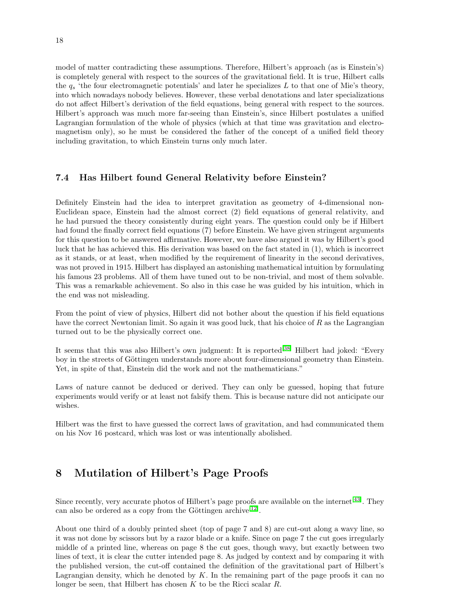model of matter contradicting these assumptions. Therefore, Hilbert's approach (as is Einstein's) is completely general with respect to the sources of the gravitational field. It is true, Hilbert calls the  $q_s$  'the four electromagnetic potentials' and later he specializes L to that one of Mie's theory, into which nowadays nobody believes. However, these verbal denotations and later specializations do not affect Hilbert's derivation of the field equations, being general with respect to the sources. Hilbert's approach was much more far-seeing than Einstein's, since Hilbert postulates a unified Lagrangian formulation of the whole of physics (which at that time was gravitation and electromagnetism only), so he must be considered the father of the concept of a unified field theory including gravitation, to which Einstein turns only much later.

### 7.4 Has Hilbert found General Relativity before Einstein?

Definitely Einstein had the idea to interpret gravitation as geometry of 4-dimensional non-Euclidean space, Einstein had the almost correct (2) field equations of general relativity, and he had pursued the theory consistently during eight years. The question could only be if Hilbert had found the finally correct field equations (7) before Einstein. We have given stringent arguments for this question to be answered affirmative. However, we have also argued it was by Hilbert's good luck that he has achieved this. His derivation was based on the fact stated in (1), which is incorrect as it stands, or at least, when modified by the requirement of linearity in the second derivatives, was not proved in 1915. Hilbert has displayed an astonishing mathematical intuition by formulating his famous 23 problems. All of them have tuned out to be non-trivial, and most of them solvable. This was a remarkable achievement. So also in this case he was guided by his intuition, which in the end was not misleading.

From the point of view of physics, Hilbert did not bother about the question if his field equations have the correct Newtonian limit. So again it was good luck, that his choice of R as the Lagrangian turned out to be the physically correct one.

It seems that this was also Hilbert's own judgment: It is reported<sup>[\[38\]](#page-27-2)</sup> Hilbert had joked: "Every boy in the streets of Göttingen understands more about four-dimensional geometry than Einstein. Yet, in spite of that, Einstein did the work and not the mathematicians."

Laws of nature cannot be deduced or derived. They can only be guessed, hoping that future experiments would verify or at least not falsify them. This is because nature did not anticipate our wishes.

Hilbert was the first to have guessed the correct laws of gravitation, and had communicated them on his Nov 16 postcard, which was lost or was intentionally abolished.

# 8 Mutilation of Hilbert's Page Proofs

Since recently, very accurate photos of Hilbert's page proofs are available on the internet<sup>[\[43\]](#page-27-7)</sup>. They can also be ordered as a copy from the Göttingen archive<sup>[\[12\]](#page-25-9)</sup>.

About one third of a doubly printed sheet (top of page 7 and 8) are cut-out along a wavy line, so it was not done by scissors but by a razor blade or a knife. Since on page 7 the cut goes irregularly middle of a printed line, whereas on page 8 the cut goes, though wavy, but exactly between two lines of text, it is clear the cutter intended page 8. As judged by context and by comparing it with the published version, the cut-off contained the definition of the gravitational part of Hilbert's Lagrangian density, which he denoted by  $K$ . In the remaining part of the page proofs it can no longer be seen, that Hilbert has chosen  $K$  to be the Ricci scalar  $R$ .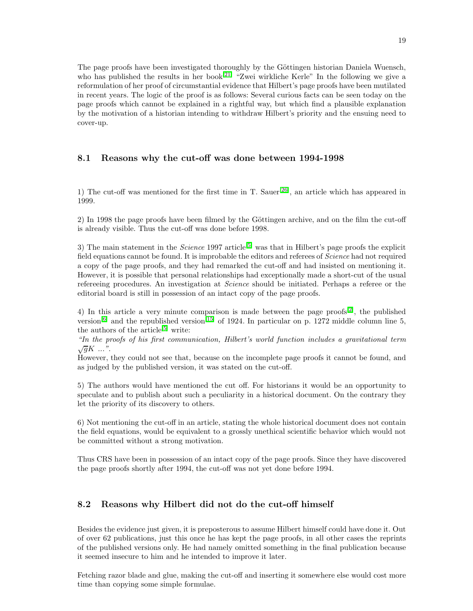The page proofs have been investigated thoroughly by the Göttingen historian Daniela Wuensch, who has published the results in her book<sup>[\[21\]](#page-26-4)</sup> "Zwei wirkliche Kerle" In the following we give a reformulation of her proof of circumstantial evidence that Hilbert's page proofs have been mutilated in recent years. The logic of the proof is as follows: Several curious facts can be seen today on the page proofs which cannot be explained in a rightful way, but which find a plausible explanation by the motivation of a historian intending to withdraw Hilbert's priority and the ensuing need to cover-up.

#### 8.1 Reasons why the cut-off was done between 1994-1998

1) The cut-off was mentioned for the first time in T. Sauer[\[26\]](#page-26-9), an article which has appeared in 1999.

2) In 1998 the page proofs have been filmed by the Göttingen archive, and on the film the cut-off is already visible. Thus the cut-off was done before 1998.

3) The main statement in the *Science* 1997 article<sup>[\[5\]](#page-25-2)</sup> was that in Hilbert's page proofs the explicit field equations cannot be found. It is improbable the editors and referees of Science had not required a copy of the page proofs, and they had remarked the cut-off and had insisted on mentioning it. However, it is possible that personal relationships had exceptionally made a short-cut of the usual refereeing procedures. An investigation at Science should be initiated. Perhaps a referee or the editorial board is still in possession of an intact copy of the page proofs.

4) In this article a very minute comparison is made between the page proofs $[2]$ , the published version<sup>[\[6\]](#page-25-3)</sup> and the republished version<sup>[\[15\]](#page-25-12)</sup> of 1924. In particular on p. 1272 middle column line 5, the authors of the article<sup>[\[5\]](#page-25-2)</sup> write:

"In the proofs of his first communication, Hilbert's world function includes a gravitational term  $\sqrt{g}K \dots$ ".

However, they could not see that, because on the incomplete page proofs it cannot be found, and as judged by the published version, it was stated on the cut-off.

5) The authors would have mentioned the cut off. For historians it would be an opportunity to speculate and to publish about such a peculiarity in a historical document. On the contrary they let the priority of its discovery to others.

6) Not mentioning the cut-off in an article, stating the whole historical document does not contain the field equations, would be equivalent to a grossly unethical scientific behavior which would not be committed without a strong motivation.

Thus CRS have been in possession of an intact copy of the page proofs. Since they have discovered the page proofs shortly after 1994, the cut-off was not yet done before 1994.

#### 8.2 Reasons why Hilbert did not do the cut-off himself

Besides the evidence just given, it is preposterous to assume Hilbert himself could have done it. Out of over 62 publications, just this once he has kept the page proofs, in all other cases the reprints of the published versions only. He had namely omitted something in the final publication because it seemed insecure to him and he intended to improve it later.

Fetching razor blade and glue, making the cut-off and inserting it somewhere else would cost more time than copying some simple formulae.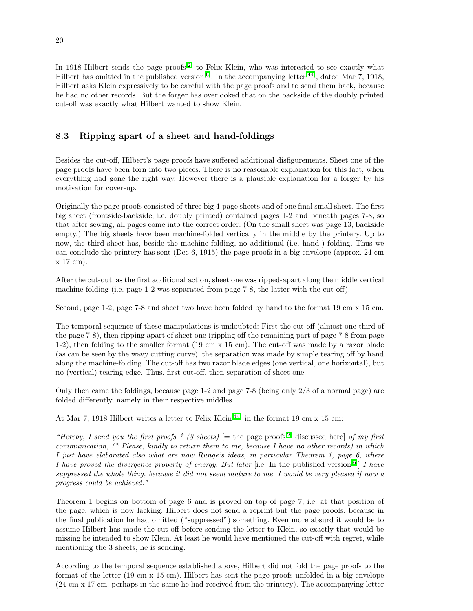In 1918 Hilbert sends the page proofs<sup>[\[2\]](#page-24-1)</sup> to Felix Klein, who was interested to see exactly what Hilbert has omitted in the published version<sup>[\[6\]](#page-25-3)</sup>. In the accompanying letter<sup>[\[44\]](#page-27-8)</sup>, dated Mar 7, 1918, Hilbert asks Klein expressively to be careful with the page proofs and to send them back, because he had no other records. But the forger has overlooked that on the backside of the doubly printed cut-off was exactly what Hilbert wanted to show Klein.

## 8.3 Ripping apart of a sheet and hand-foldings

Besides the cut-off, Hilbert's page proofs have suffered additional disfigurements. Sheet one of the page proofs have been torn into two pieces. There is no reasonable explanation for this fact, when everything had gone the right way. However there is a plausible explanation for a forger by his motivation for cover-up.

Originally the page proofs consisted of three big 4-page sheets and of one final small sheet. The first big sheet (frontside-backside, i.e. doubly printed) contained pages 1-2 and beneath pages 7-8, so that after sewing, all pages come into the correct order. (On the small sheet was page 13, backside empty.) The big sheets have been machine-folded vertically in the middle by the printery. Up to now, the third sheet has, beside the machine folding, no additional (i.e. hand-) folding. Thus we can conclude the printery has sent (Dec 6, 1915) the page proofs in a big envelope (approx. 24 cm x 17 cm).

After the cut-out, as the first additional action, sheet one was ripped-apart along the middle vertical machine-folding (i.e. page 1-2 was separated from page 7-8, the latter with the cut-off).

Second, page 1-2, page 7-8 and sheet two have been folded by hand to the format 19 cm x 15 cm.

The temporal sequence of these manipulations is undoubted: First the cut-off (almost one third of the page 7-8), then ripping apart of sheet one (ripping off the remaining part of page 7-8 from page 1-2), then folding to the smaller format (19 cm x 15 cm). The cut-off was made by a razor blade (as can be seen by the wavy cutting curve), the separation was made by simple tearing off by hand along the machine-folding. The cut-off has two razor blade edges (one vertical, one horizontal), but no (vertical) tearing edge. Thus, first cut-off, then separation of sheet one.

Only then came the foldings, because page 1-2 and page 7-8 (being only 2/3 of a normal page) are folded differently, namely in their respective middles.

At Mar 7, 1918 Hilbert writes a letter to Felix Klein<sup>[\[44\]](#page-27-8)</sup> in the format 19 cm x 15 cm:

"Hereby, I send you the first proofs \* (3 sheets)  $[=$  the page proofs<sup>[\[2\]](#page-24-1)</sup> discussed here] of my first communication, (\* Please, kindly to return them to me, because I have no other records) in which I just have elaborated also what are now Runge's ideas, in particular Theorem 1, page 6, where I have proved the divergence property of energy. But later [i.e. In the published version[\[6\]](#page-25-3) I have suppressed the whole thing, because it did not seem mature to me. I would be very pleased if now a progress could be achieved."

Theorem 1 begins on bottom of page 6 and is proved on top of page 7, i.e. at that position of the page, which is now lacking. Hilbert does not send a reprint but the page proofs, because in the final publication he had omitted ("suppressed") something. Even more absurd it would be to assume Hilbert has made the cut-off before sending the letter to Klein, so exactly that would be missing he intended to show Klein. At least he would have mentioned the cut-off with regret, while mentioning the 3 sheets, he is sending.

According to the temporal sequence established above, Hilbert did not fold the page proofs to the format of the letter (19 cm x 15 cm). Hilbert has sent the page proofs unfolded in a big envelope (24 cm x 17 cm, perhaps in the same he had received from the printery). The accompanying letter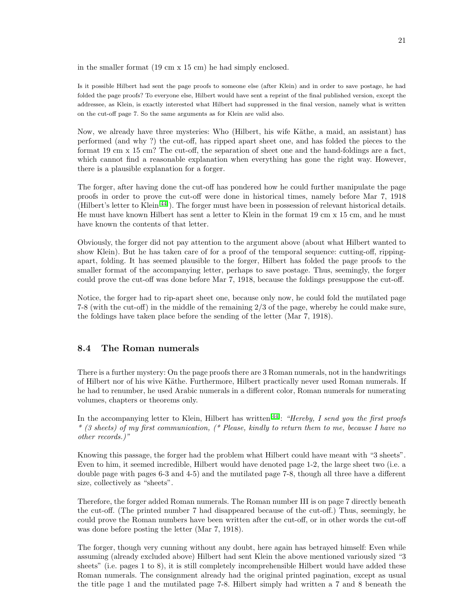in the smaller format (19 cm x 15 cm) he had simply enclosed.

Is it possible Hilbert had sent the page proofs to someone else (after Klein) and in order to save postage, he had folded the page proofs? To everyone else, Hilbert would have sent a reprint of the final published version, except the addressee, as Klein, is exactly interested what Hilbert had suppressed in the final version, namely what is written on the cut-off page 7. So the same arguments as for Klein are valid also.

Now, we already have three mysteries: Who (Hilbert, his wife Käthe, a maid, an assistant) has performed (and why ?) the cut-off, has ripped apart sheet one, and has folded the pieces to the format 19 cm x 15 cm? The cut-off, the separation of sheet one and the hand-foldings are a fact, which cannot find a reasonable explanation when everything has gone the right way. However, there is a plausible explanation for a forger.

The forger, after having done the cut-off has pondered how he could further manipulate the page proofs in order to prove the cut-off were done in historical times, namely before Mar 7, 1918 (Hilbert's letter to  $\text{Klein}^{[44]}$  $\text{Klein}^{[44]}$  $\text{Klein}^{[44]}$ ). The forger must have been in possession of relevant historical details. He must have known Hilbert has sent a letter to Klein in the format 19 cm x 15 cm, and he must have known the contents of that letter.

Obviously, the forger did not pay attention to the argument above (about what Hilbert wanted to show Klein). But he has taken care of for a proof of the temporal sequence: cutting-off, rippingapart, folding. It has seemed plausible to the forger, Hilbert has folded the page proofs to the smaller format of the accompanying letter, perhaps to save postage. Thus, seemingly, the forger could prove the cut-off was done before Mar 7, 1918, because the foldings presuppose the cut-off.

Notice, the forger had to rip-apart sheet one, because only now, he could fold the mutilated page 7-8 (with the cut-off) in the middle of the remaining 2/3 of the page, whereby he could make sure, the foldings have taken place before the sending of the letter (Mar 7, 1918).

#### 8.4 The Roman numerals

There is a further mystery: On the page proofs there are 3 Roman numerals, not in the handwritings of Hilbert nor of his wive Käthe. Furthermore, Hilbert practically never used Roman numerals. If he had to renumber, he used Arabic numerals in a different color, Roman numerals for numerating volumes, chapters or theorems only.

In the accompanying letter to Klein, Hilbert has written<sup>[\[44\]](#page-27-8)</sup>: "Hereby, I send you the first proofs" \* (3 sheets) of my first communication, (\* Please, kindly to return them to me, because I have no other records.)"

Knowing this passage, the forger had the problem what Hilbert could have meant with "3 sheets". Even to him, it seemed incredible, Hilbert would have denoted page 1-2, the large sheet two (i.e. a double page with pages 6-3 and 4-5) and the mutilated page 7-8, though all three have a different size, collectively as "sheets".

Therefore, the forger added Roman numerals. The Roman number III is on page 7 directly beneath the cut-off. (The printed number 7 had disappeared because of the cut-off.) Thus, seemingly, he could prove the Roman numbers have been written after the cut-off, or in other words the cut-off was done before posting the letter (Mar 7, 1918).

The forger, though very cunning without any doubt, here again has betrayed himself: Even while assuming (already excluded above) Hilbert had sent Klein the above mentioned variously sized "3 sheets" (i.e. pages 1 to 8), it is still completely incomprehensible Hilbert would have added these Roman numerals. The consignment already had the original printed pagination, except as usual the title page 1 and the mutilated page 7-8. Hilbert simply had written a 7 and 8 beneath the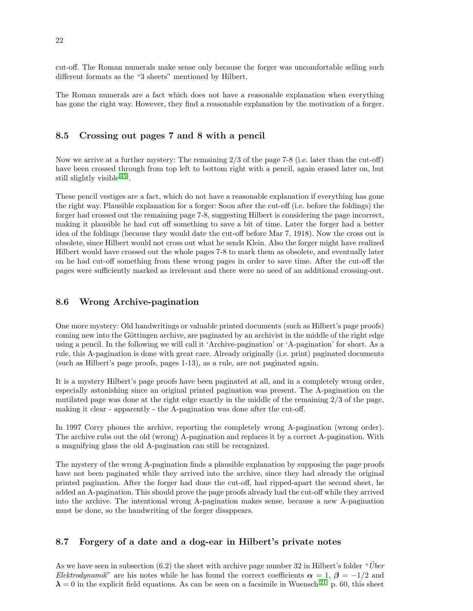cut-off. The Roman numerals make sense only because the forger was uncomfortable selling such different formats as the "3 sheets" mentioned by Hilbert.

The Roman numerals are a fact which does not have a reasonable explanation when everything has gone the right way. However, they find a reasonable explanation by the motivation of a forger.

#### 8.5 Crossing out pages 7 and 8 with a pencil

Now we arrive at a further mystery: The remaining 2/3 of the page 7-8 (i.e. later than the cut-off) have been crossed through from top left to bottom right with a pencil, again erased later on, but still slightly visible<sup>[\[45\]](#page-27-9)</sup>.

These pencil vestiges are a fact, which do not have a reasonable explanation if everything has gone the right way. Plausible explanation for a forger: Soon after the cut-off (i.e. before the foldings) the forger had crossed out the remaining page 7-8, suggesting Hilbert is considering the page incorrect, making it plausible he had cut off something to save a bit of time. Later the forger had a better idea of the foldings (because they would date the cut-off before Mar 7, 1918). Now the cross out is obsolete, since Hilbert would not cross out what he sends Klein. Also the forger might have realized Hilbert would have crossed out the whole pages 7-8 to mark them as obsolete, and eventually later on he had cut-off something from these wrong pages in order to save time. After the cut-off the pages were sufficiently marked as irrelevant and there were no need of an additional crossing-out.

#### 8.6 Wrong Archive-pagination

One more mystery: Old handwritings or valuable printed documents (such as Hilbert's page proofs) coming new into the Göttingen archive, are paginated by an archivist in the middle of the right edge using a pencil. In the following we will call it 'Archive-pagination' or 'A-pagination' for short. As a rule, this A-pagination is done with great care. Already originally (i.e. print) paginated documents (such as Hilbert's page proofs, pages 1-13), as a rule, are not paginated again.

It is a mystery Hilbert's page proofs have been paginated at all, and in a completely wrong order, especially astonishing since an original printed pagination was present. The A-pagination on the mutilated page was done at the right edge exactly in the middle of the remaining 2/3 of the page, making it clear - apparently - the A-pagination was done after the cut-off.

In 1997 Corry phones the archive, reporting the completely wrong A-pagination (wrong order). The archive rubs out the old (wrong) A-pagination and replaces it by a correct A-pagination. With a magnifying glass the old A-pagination can still be recognized.

The mystery of the wrong A-pagination finds a plausible explanation by supposing the page proofs have not been paginated while they arrived into the archive, since they had already the original printed pagination. After the forger had done the cut-off, had ripped-apart the second sheet, he added an A-pagination. This should prove the page proofs already had the cut-off while they arrived into the archive. The intentional wrong A-pagination makes sense, because a new A-pagination must be done, so the handwriting of the forger disappears.

#### 8.7 Forgery of a date and a dog-ear in Hilbert's private notes

As we have seen in subsection (6.2) the sheet with archive page number 32 in Hilbert's folder " $\ddot{U}$ ber Elektrodynamik" are his notes while he has found the correct coefficients  $\alpha = 1$ ,  $\beta = -1/2$  and  $\lambda = 0$  in the explicit field equations. As can be seen on a facsimile in Wuensch<sup>[\[21\]](#page-26-4)</sup> p. 60, this sheet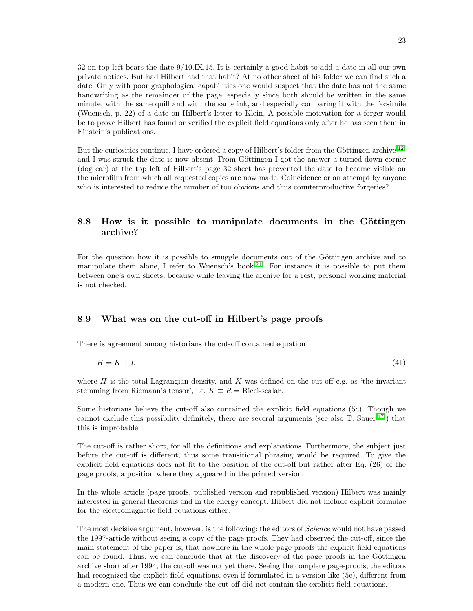32 on top left bears the date 9/10.IX.15. It is certainly a good habit to add a date in all our own private notices. But had Hilbert had that habit? At no other sheet of his folder we can find such a date. Only with poor graphological capabilities one would suspect that the date has not the same handwriting as the remainder of the page, especially since both should be written in the same minute, with the same quill and with the same ink, and especially comparing it with the facsimile (Wuensch, p. 22) of a date on Hilbert's letter to Klein. A possible motivation for a forger would be to prove Hilbert has found or verified the explicit field equations only after he has seen them in Einstein's publications.

But the curiosities continue. I have ordered a copy of Hilbert's folder from the Göttingen archive<sup>[\[12\]](#page-25-9)</sup> and I was struck the date is now absent. From Göttingen I got the answer a turned-down-corner (dog ear) at the top left of Hilbert's page 32 sheet has prevented the date to become visible on the microfilm from which all requested copies are now made. Coincidence or an attempt by anyone who is interested to reduce the number of too obvious and thus counterproductive forgeries?

## 8.8 How is it possible to manipulate documents in the Göttingen archive?

For the question how it is possible to smuggle documents out of the Göttingen archive and to manipulate them alone, I refer to Wuensch's book<sup>[\[21\]](#page-26-4)</sup>. For instance it is possible to put them between one's own sheets, because while leaving the archive for a rest, personal working material is not checked.

#### 8.9 What was on the cut-off in Hilbert's page proofs

There is agreement among historians the cut-off contained equation

$$
H = K + L \tag{41}
$$

where  $H$  is the total Lagrangian density, and  $K$  was defined on the cut-off e.g. as 'the invariant stemming from Riemann's tensor', i.e.  $K \equiv R = \text{Ricci-scalar.}$ 

Some historians believe the cut-off also contained the explicit field equations (5c). Though we cannot exclude this possibility definitely, there are several arguments (see also T. Sauer $\left|^{47}\right|$ ) that this is improbable:

The cut-off is rather short, for all the definitions and explanations. Furthermore, the subject just before the cut-off is different, thus some transitional phrasing would be required. To give the explicit field equations does not fit to the position of the cut-off but rather after Eq. (26) of the page proofs, a position where they appeared in the printed version.

In the whole article (page proofs, published version and republished version) Hilbert was mainly interested in general theorems and in the energy concept. Hilbert did not include explicit formulae for the electromagnetic field equations either.

The most decisive argument, however, is the following: the editors of Science would not have passed the 1997-article without seeing a copy of the page proofs. They had observed the cut-off, since the main statement of the paper is, that nowhere in the whole page proofs the explicit field equations can be found. Thus, we can conclude that at the discovery of the page proofs in the Göttingen archive short after 1994, the cut-off was not yet there. Seeing the complete page-proofs, the editors had recognized the explicit field equations, even if formulated in a version like (5c), different from a modern one. Thus we can conclude the cut-off did not contain the explicit field equations.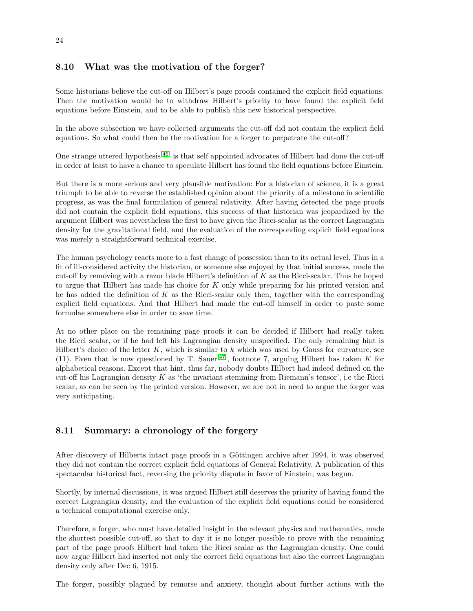### 8.10 What was the motivation of the forger?

Some historians believe the cut-off on Hilbert's page proofs contained the explicit field equations. Then the motivation would be to withdraw Hilbert's priority to have found the explicit field equations before Einstein, and to be able to publish this new historical perspective.

In the above subsection we have collected arguments the cut-off did not contain the explicit field equations. So what could then be the motivation for a forger to perpetrate the cut-off?

One strange uttered hypothesis<sup>[\[46\]](#page-27-11)</sup> is that self appointed advocates of Hilbert had done the cut-off in order at least to have a chance to speculate Hilbert has found the field equations before Einstein.

But there is a more serious and very plausible motivation: For a historian of science, it is a great triumph to be able to reverse the established opinion about the priority of a milestone in scientific progress, as was the final formulation of general relativity. After having detected the page proofs did not contain the explicit field equations, this success of that historian was jeopardized by the argument Hilbert was nevertheless the first to have given the Ricci-scalar as the correct Lagrangian density for the gravitational field, and the evaluation of the corresponding explicit field equations was merely a straightforward technical exercise.

The human psychology reacts more to a fast change of possession than to its actual level. Thus in a fit of ill-considered activity the historian, or someone else enjoyed by that initial success, made the cut-off by removing with a razor blade Hilbert's definition of K as the Ricci-scalar. Thus he hoped to argue that Hilbert has made his choice for K only while preparing for his printed version and he has added the definition of K as the Ricci-scalar only then, together with the corresponding explicit field equations. And that Hilbert had made the cut-off himself in order to paste some formulae somewhere else in order to save time.

At no other place on the remaining page proofs it can be decided if Hilbert had really taken the Ricci scalar, or if he had left his Lagrangian density unspecified. The only remaining hint is Hilbert's choice of the letter  $K$ , which is similar to k which was used by Gauss for curvature, see (11). Even that is now questioned by T. Sauer<sup>[\[47\]](#page-27-10)</sup>, footnote 7, arguing Hilbert has taken K for alphabetical reasons. Except that hint, thus far, nobody doubts Hilbert had indeed defined on the cut-off his Lagrangian density  $K$  as 'the invariant stemming from Riemann's tensor', i.e the Ricci scalar, as can be seen by the printed version. However, we are not in need to argue the forger was very anticipating.

## 8.11 Summary: a chronology of the forgery

After discovery of Hilberts intact page proofs in a Göttingen archive after 1994, it was observed they did not contain the correct explicit field equations of General Relativity. A publication of this spectacular historical fact, reversing the priority dispute in favor of Einstein, was begun.

Shortly, by internal discussions, it was argued Hilbert still deserves the priority of having found the correct Lagrangian density, and the evaluation of the explicit field equations could be considered a technical computational exercise only.

Therefore, a forger, who must have detailed insight in the relevant physics and mathematics, made the shortest possible cut-off, so that to day it is no longer possible to prove with the remaining part of the page proofs Hilbert had taken the Ricci scalar as the Lagrangian density. One could now argue Hilbert had inserted not only the correct field equations but also the correct Lagrangian density only after Dec 6, 1915.

The forger, possibly plagued by remorse and anxiety, thought about further actions with the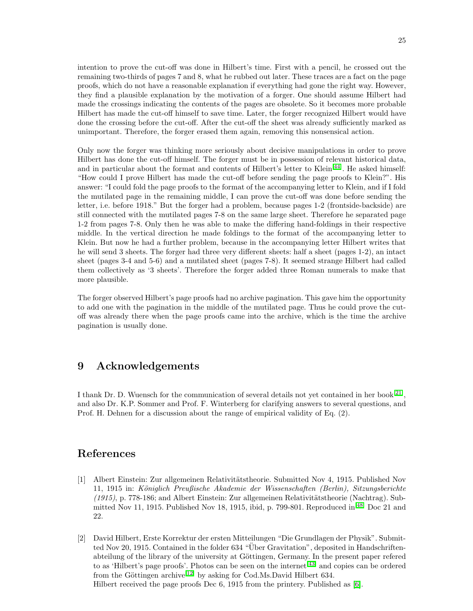intention to prove the cut-off was done in Hilbert's time. First with a pencil, he crossed out the remaining two-thirds of pages 7 and 8, what he rubbed out later. These traces are a fact on the page proofs, which do not have a reasonable explanation if everything had gone the right way. However, they find a plausible explanation by the motivation of a forger. One should assume Hilbert had made the crossings indicating the contents of the pages are obsolete. So it becomes more probable Hilbert has made the cut-off himself to save time. Later, the forger recognized Hilbert would have done the crossing before the cut-off. After the cut-off the sheet was already sufficiently marked as unimportant. Therefore, the forger erased them again, removing this nonsensical action.

Only now the forger was thinking more seriously about decisive manipulations in order to prove Hilbert has done the cut-off himself. The forger must be in possession of relevant historical data, and in particular about the format and contents of Hilbert's letter to Klein<sup>[\[44\]](#page-27-8)</sup>. He asked himself: "How could I prove Hilbert has made the cut-off before sending the page proofs to Klein?". His answer: "I could fold the page proofs to the format of the accompanying letter to Klein, and if I fold the mutilated page in the remaining middle, I can prove the cut-off was done before sending the letter, i.e. before 1918." But the forger had a problem, because pages 1-2 (frontside-backside) are still connected with the mutilated pages 7-8 on the same large sheet. Therefore he separated page 1-2 from pages 7-8. Only then he was able to make the differing hand-foldings in their respective middle. In the vertical direction he made foldings to the format of the accompanying letter to Klein. But now he had a further problem, because in the accompanying letter Hilbert writes that he will send 3 sheets. The forger had three very different sheets: half a sheet (pages 1-2), an intact sheet (pages 3-4 and 5-6) and a mutilated sheet (pages 7-8). It seemed strange Hilbert had called them collectively as '3 sheets'. Therefore the forger added three Roman numerals to make that more plausible.

The forger observed Hilbert's page proofs had no archive pagination. This gave him the opportunity to add one with the pagination in the middle of the mutilated page. Thus he could prove the cutoff was already there when the page proofs came into the archive, which is the time the archive pagination is usually done.

# 9 Acknowledgements

I thank Dr. D. Wuensch for the communication of several details not yet contained in her book<sup>[\[21\]](#page-26-4)</sup>, and also Dr. K.P. Sommer and Prof. F. Winterberg for clarifying answers to several questions, and Prof. H. Dehnen for a discussion about the range of empirical validity of Eq. (2).

## References

- <span id="page-24-0"></span>[1] Albert Einstein: Zur allgemeinen Relativitätstheorie. Submitted Nov 4, 1915. Published Nov 11, 1915 in: Königlich Preußische Akademie der Wissenschaften (Berlin), Sitzungsberichte  $(1915)$ , p. 778-186; and Albert Einstein: Zur allgemeinen Relativitätstheorie (Nachtrag). Submitted Nov 11, 1915. Published Nov 18, 1915, ibid, p. 799-801. Reproduced in  $^{[48]}$  $^{[48]}$  $^{[48]}$  Doc 21 and 22.
- <span id="page-24-1"></span>[2] David Hilbert, Erste Korrektur der ersten Mitteilungen "Die Grundlagen der Physik". Submitted Nov 20, 1915. Contained in the folder 634 "Uber Gravitation", deposited in Handschriftenabteilung of the library of the university at Göttingen, Germany. In the present paper refered to as 'Hilbert's page proofs'. Photos can be seen on the internet<sup>[\[43\]](#page-27-7)</sup> and copies can be ordered from the Göttingen archive<sup>[\[12\]](#page-25-9)</sup> by asking for Cod.Ms.David Hilbert 634. Hilbert received the page proofs Dec 6, 1915 from the printery. Published as [\[6\]](#page-25-3).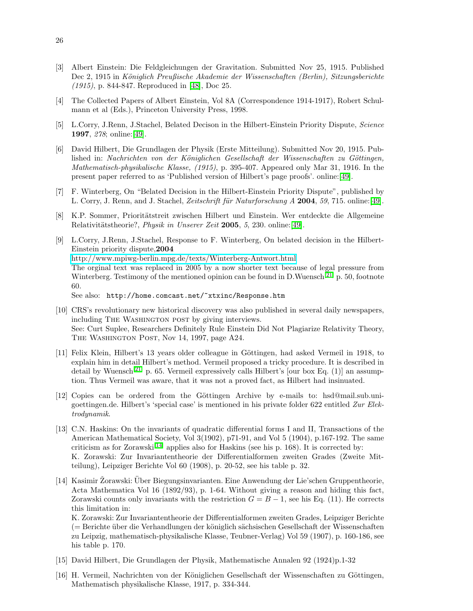- <span id="page-25-0"></span>[3] Albert Einstein: Die Feldgleichungen der Gravitation. Submitted Nov 25, 1915. Published Dec 2, 1915 in Königlich Preußische Akademie der Wissenschaften (Berlin), Sitzungsberichte (1915), p. 844-847. Reproduced in [\[48\]](#page-27-12), Doc 25.
- <span id="page-25-1"></span>[4] The Collected Papers of Albert Einstein, Vol 8A (Correspondence 1914-1917), Robert Schulmann et al (Eds.), Princeton University Press, 1998.
- <span id="page-25-2"></span>[5] L.Corry, J.Renn, J.Stachel, Belated Decison in the Hilbert-Einstein Priority Dispute, Science 1997, 278; online:[\[49\]](#page-27-13).
- <span id="page-25-3"></span>[6] David Hilbert, Die Grundlagen der Physik (Erste Mitteilung). Submitted Nov 20, 1915. Published in: Nachrichten von der Königlichen Gesellschaft der Wissenschaften zu Göttingen, Mathematisch-physikalische Klasse, (1915), p. 395-407. Appeared only Mar 31, 1916. In the present paper referred to as 'Published version of Hilbert's page proofs'. online:[\[49\]](#page-27-13).
- <span id="page-25-4"></span>[7] F. Winterberg, On "Belated Decision in the Hilbert-Einstein Priority Dispute", published by L. Corry, J. Renn, and J. Stachel, Zeitschrift für Naturforschung A 2004, 59, 715. online:[\[49\]](#page-27-13).
- <span id="page-25-5"></span>[8] K.P. Sommer, Prioritätstreit zwischen Hilbert und Einstein. Wer entdeckte die Allgemeine Relativitätstheorie?, Physik in Unserer Zeit 2005, 5, 230. online:[\[49\]](#page-27-13).
- <span id="page-25-6"></span>[9] L.Corry, J.Renn, J.Stachel, Response to F. Winterberg, On belated decision in the Hilbert-Einstein priority dispute,2004 <http://www.mpiwg-berlin.mpg.de/texts/Winterberg-Antwort.html> The orginal text was replaced in 2005 by a now shorter text because of legal pressure from Winterberg. Testimony of the mentioned opinion can be found in D.Wuensch<sup>[\[21\]](#page-26-4)</sup> p. 50, footnote 60. See also: http://home.comcast.net/~xtxinc/Response.htm
- <span id="page-25-7"></span>[10] CRS's revolutionary new historical discovery was also published in several daily newspapers,
- including THE WASHINGTON POST by giving interviews. See: Curt Suplee, Researchers Definitely Rule Einstein Did Not Plagiarize Relativity Theory, The Washington Post, Nov 14, 1997, page A24.
- <span id="page-25-8"></span>[11] Felix Klein, Hilbert's 13 years older colleague in Göttingen, had asked Vermeil in 1918, to explain him in detail Hilbert's method. Vermeil proposed a tricky procedure. It is described in detail by Wuensch<sup>[\[21\]](#page-26-4)</sup> p. 65. Vermeil expressively calls Hilbert's [our box Eq. (1)] an assumption. Thus Vermeil was aware, that it was not a proved fact, as Hilbert had insinuated.
- <span id="page-25-9"></span>[12] Copies can be ordered from the Göttingen Archive by e-mails to: hsd@mail.sub.unigoettingen.de. Hilbert's 'special case' is mentioned in his private folder 622 entitled Zur Elektrodynamik.
- <span id="page-25-10"></span>[13] C.N. Haskins: On the invariants of quadratic differential forms I and II, Transactions of the American Mathematical Society, Vol 3(1902), p71-91, and Vol 5 (1904), p.167-192. The same criticism as for Zorawski<sup>[\[14\]](#page-25-11)</sup> applies also for Haskins (see his p. 168). It is corrected by: K. Zorawski: Zur Invariantentheorie der Differentialformen zweiten Grades (Zweite Mitteilung), Leipziger Berichte Vol 60 (1908), p. 20-52, see his table p. 32.
- <span id="page-25-11"></span>[14] Kasimir Žorawski: Über Biegungsinvarianten. Eine Anwendung der Lie'schen Gruppentheorie, Acta Mathematica Vol 16 (1892/93), p. 1-64. Without giving a reason and hiding this fact, Zorawski counts only invariants with the restriction  $G = B - 1$ , see his Eq. (11). He corrects this limitation in:

K. Zorawski: Zur Invariantentheorie der Differentialformen zweiten Grades, Leipziger Berichte (= Berichte ¨uber die Verhandlungen der k¨oniglich s¨achsischen Gesellschaft der Wissenschaften zu Leipzig, mathematisch-physikalische Klasse, Teubner-Verlag) Vol 59 (1907), p. 160-186, see his table p. 170.

- <span id="page-25-13"></span><span id="page-25-12"></span>[15] David Hilbert, Die Grundlagen der Physik, Mathematische Annalen 92 (1924)p.1-32
- [16] H. Vermeil, Nachrichten von der Königlichen Gesellschaft der Wissenschaften zu Göttingen, Mathematisch physikalische Klasse, 1917, p. 334-344.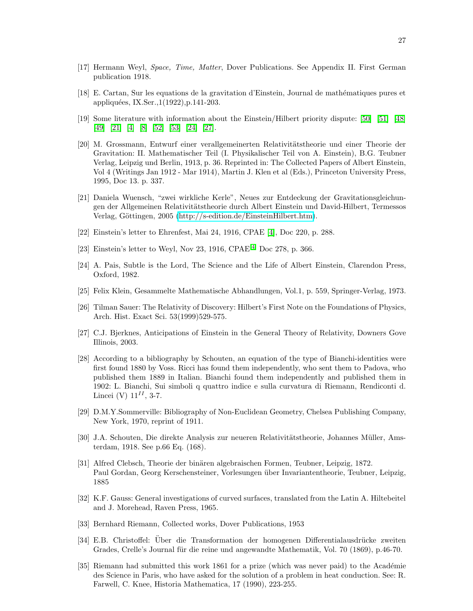- <span id="page-26-0"></span>[17] Hermann Weyl, Space, Time, Matter, Dover Publications. See Appendix II. First German publication 1918.
- <span id="page-26-1"></span>[18] E. Cartan, Sur les equations de la gravitation d'Einstein, Journal de math´ematiques pures et appliquées, IX.Ser.,1(1922),p.141-203.
- <span id="page-26-2"></span>[19] Some literature with information about the Einstein/Hilbert priority dispute: [\[50\]](#page-27-14) [\[51\]](#page-27-15) [\[48\]](#page-27-12) [\[49\]](#page-27-13) [\[21\]](#page-26-4) [\[4\]](#page-25-1) [\[8\]](#page-25-5) [\[52\]](#page-27-16) [\[53\]](#page-27-17) [\[24\]](#page-26-7) [\[27\]](#page-26-10).
- <span id="page-26-3"></span>[20] M. Grossmann, Entwurf einer verallgemeinerten Relativitätstheorie und einer Theorie der Gravitation: II. Mathematischer Teil (I. Physikalischer Teil von A. Einstein), B.G. Teubner Verlag, Leipzig und Berlin, 1913, p. 36. Reprinted in: The Collected Papers of Albert Einstein, Vol 4 (Writings Jan 1912 - Mar 1914), Martin J. Klen et al (Eds.), Princeton University Press, 1995, Doc 13. p. 337.
- <span id="page-26-4"></span>[21] Daniela Wuensch, "zwei wirkliche Kerle", Neues zur Entdeckung der Gravitationsgleichungen der Allgemeinen Relativitätstheorie durch Albert Einstein und David-Hilbert, Termessos Verlag, Göttingen, 2005 [\(http://s-edition.de/EinsteinHilbert.htm\)](http://s-edition.de/EinsteinHilbert.htm).
- <span id="page-26-6"></span><span id="page-26-5"></span>[22] Einstein's letter to Ehrenfest, Mai 24, 1916, CPAE [\[4\]](#page-25-1), Doc 220, p. 288.
- <span id="page-26-7"></span>[23] Einstein's letter to Weyl, Nov 23, 1916, CPAE<sup>[\[4\]](#page-25-1)</sup> Doc 278, p. 366.
- [24] A. Pais, Subtle is the Lord, The Science and the Life of Albert Einstein, Clarendon Press, Oxford, 1982.
- <span id="page-26-9"></span><span id="page-26-8"></span>[25] Felix Klein, Gesammelte Mathematische Abhandlungen, Vol.1, p. 559, Springer-Verlag, 1973.
- [26] Tilman Sauer: The Relativity of Discovery: Hilbert's First Note on the Foundations of Physics, Arch. Hist. Exact Sci. 53(1999)529-575.
- <span id="page-26-10"></span>[27] C.J. Bjerknes, Anticipations of Einstein in the General Theory of Relativity, Downers Gove Illinois, 2003.
- <span id="page-26-11"></span>[28] According to a bibliography by Schouten, an equation of the type of Bianchi-identities were first found 1880 by Voss. Ricci has found them independently, who sent them to Padova, who published them 1889 in Italian. Bianchi found them independently and published them in 1902: L. Bianchi, Sui simboli q quattro indice e sulla curvatura di Riemann, Rendiconti d. Lincei (V)  $11^{II}$ , 3-7.
- <span id="page-26-12"></span>[29] D.M.Y.Sommerville: Bibliography of Non-Euclidean Geometry, Chelsea Publishing Company, New York, 1970, reprint of 1911.
- <span id="page-26-13"></span>[30] J.A. Schouten, Die direkte Analysis zur neueren Relativitätstheorie, Johannes Müller, Amsterdam, 1918. See p.66 Eq. (168).
- <span id="page-26-14"></span>[31] Alfred Clebsch, Theorie der binären algebraischen Formen, Teubner, Leipzig, 1872. Paul Gordan, Georg Kerschensteiner, Vorlesungen über Invariantentheorie, Teubner, Leipzig, 1885
- <span id="page-26-15"></span>[32] K.F. Gauss: General investigations of curved surfaces, translated from the Latin A. Hiltebeitel and J. Morehead, Raven Press, 1965.
- <span id="page-26-17"></span><span id="page-26-16"></span>[33] Bernhard Riemann, Collected works, Dover Publications, 1953
- [34] E.B. Christoffel: Über die Transformation der homogenen Differentialausdrücke zweiten Grades, Crelle's Journal für die reine und angewandte Mathematik, Vol. 70 (1869), p.46-70.
- <span id="page-26-18"></span>[35] Riemann had submitted this work 1861 for a prize (which was never paid) to the Académie des Science in Paris, who have asked for the solution of a problem in heat conduction. See: R. Farwell, C. Knee, Historia Mathematica, 17 (1990), 223-255.